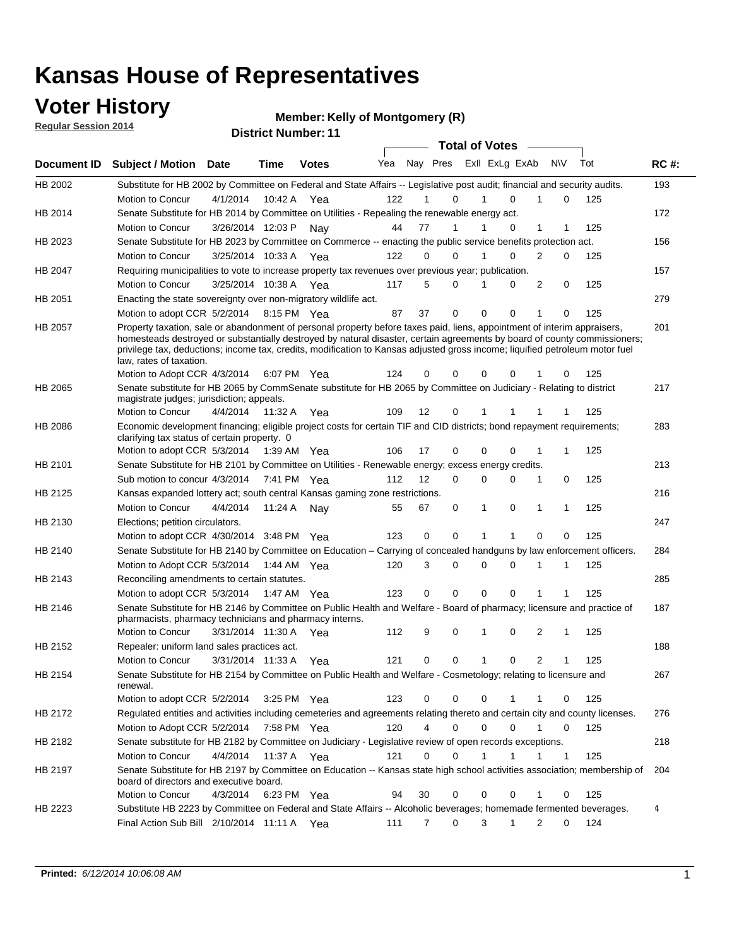## **Voter History**

**Regular Session 2014**

#### **Member: Kelly of Montgomery (R)**

|                |                                                                                                                                                                                                                                                                                                                                                                                                                                                  |                   |             | <b>DISTRICT MAILINGL'IL</b> |     |    |                  | <b>Total of Votes</b> |                |           |             |     |             |
|----------------|--------------------------------------------------------------------------------------------------------------------------------------------------------------------------------------------------------------------------------------------------------------------------------------------------------------------------------------------------------------------------------------------------------------------------------------------------|-------------------|-------------|-----------------------------|-----|----|------------------|-----------------------|----------------|-----------|-------------|-----|-------------|
|                | Document ID Subject / Motion Date                                                                                                                                                                                                                                                                                                                                                                                                                |                   | Time        | <b>Votes</b>                | Yea |    | Nay Pres         |                       | Exll ExLg ExAb | <b>NV</b> |             | Tot | <b>RC#:</b> |
| HB 2002        | Substitute for HB 2002 by Committee on Federal and State Affairs -- Legislative post audit; financial and security audits.                                                                                                                                                                                                                                                                                                                       |                   |             |                             |     |    |                  |                       |                |           |             |     | 193         |
|                | Motion to Concur                                                                                                                                                                                                                                                                                                                                                                                                                                 | 4/1/2014          | 10:42 A     | Yea                         | 122 |    | 0                |                       | 0              |           | 0           | 125 |             |
| HB 2014        | Senate Substitute for HB 2014 by Committee on Utilities - Repealing the renewable energy act.                                                                                                                                                                                                                                                                                                                                                    |                   |             |                             |     |    |                  |                       |                |           |             |     | 172         |
|                | Motion to Concur                                                                                                                                                                                                                                                                                                                                                                                                                                 | 3/26/2014 12:03 P |             | Nav                         | 44  | 77 |                  |                       | 0              | 1         |             | 125 |             |
| HB 2023        | Senate Substitute for HB 2023 by Committee on Commerce -- enacting the public service benefits protection act.                                                                                                                                                                                                                                                                                                                                   |                   |             |                             |     |    |                  |                       |                |           |             |     | 156         |
|                | Motion to Concur                                                                                                                                                                                                                                                                                                                                                                                                                                 | 3/25/2014 10:33 A |             | Yea                         | 122 | 0  | 0                |                       | 0              | 2         | 0           | 125 |             |
| HB 2047        | Requiring municipalities to vote to increase property tax revenues over previous year; publication.                                                                                                                                                                                                                                                                                                                                              |                   |             |                             |     |    |                  |                       |                |           |             |     | 157         |
|                | Motion to Concur                                                                                                                                                                                                                                                                                                                                                                                                                                 | 3/25/2014 10:38 A |             | Yea                         | 117 | 5  | 0                |                       | 0              | 2         | 0           | 125 |             |
| HB 2051        | Enacting the state sovereignty over non-migratory wildlife act.                                                                                                                                                                                                                                                                                                                                                                                  |                   |             |                             |     |    |                  |                       |                |           |             |     | 279         |
|                | Motion to adopt CCR 5/2/2014                                                                                                                                                                                                                                                                                                                                                                                                                     |                   | 8:15 PM Yea |                             | 87  | 37 | 0                | $\Omega$              | $\Omega$       | 1         | 0           | 125 |             |
| HB 2057        | Property taxation, sale or abandonment of personal property before taxes paid, liens, appointment of interim appraisers,<br>homesteads destroyed or substantially destroyed by natural disaster, certain agreements by board of county commissioners;<br>privilege tax, deductions; income tax, credits, modification to Kansas adjusted gross income; liquified petroleum motor fuel<br>law, rates of taxation.<br>Motion to Adopt CCR 4/3/2014 |                   |             | 6:07 PM Yea                 | 124 | 0  | 0                | $\Omega$              | 0              |           | 0           | 125 | 201         |
| <b>HB 2065</b> | Senate substitute for HB 2065 by CommSenate substitute for HB 2065 by Committee on Judiciary - Relating to district                                                                                                                                                                                                                                                                                                                              |                   |             |                             |     |    |                  |                       |                |           |             |     | 217         |
|                | magistrate judges; jurisdiction; appeals.                                                                                                                                                                                                                                                                                                                                                                                                        |                   |             |                             |     |    |                  |                       |                |           |             |     |             |
|                | Motion to Concur                                                                                                                                                                                                                                                                                                                                                                                                                                 | 4/4/2014          | 11:32 A     | Yea                         | 109 | 12 | 0                | 1                     | -1             | 1         |             | 125 |             |
| HB 2086        | Economic development financing; eligible project costs for certain TIF and CID districts; bond repayment requirements;<br>clarifying tax status of certain property. 0                                                                                                                                                                                                                                                                           |                   |             |                             |     |    |                  |                       |                |           |             |     | 283         |
|                | Motion to adopt CCR 5/3/2014                                                                                                                                                                                                                                                                                                                                                                                                                     |                   | 1:39 AM Yea |                             | 106 | 17 | 0                | $\mathbf 0$           | $\Omega$       |           | 1           | 125 |             |
| HB 2101        | Senate Substitute for HB 2101 by Committee on Utilities - Renewable energy; excess energy credits.                                                                                                                                                                                                                                                                                                                                               |                   |             |                             |     |    |                  |                       |                |           |             |     | 213         |
|                | Sub motion to concur 4/3/2014                                                                                                                                                                                                                                                                                                                                                                                                                    |                   |             | 7:41 PM Yea                 | 112 | 12 | 0                | $\mathbf 0$           | $\Omega$       | 1         | 0           | 125 |             |
| HB 2125        | Kansas expanded lottery act; south central Kansas gaming zone restrictions.                                                                                                                                                                                                                                                                                                                                                                      |                   |             |                             |     |    |                  |                       |                |           |             |     | 216         |
|                | Motion to Concur                                                                                                                                                                                                                                                                                                                                                                                                                                 | 4/4/2014          | 11:24 A     | Nav                         | 55  | 67 | 0                | 1                     | 0              | 1         | 1           | 125 |             |
| HB 2130        | Elections; petition circulators.                                                                                                                                                                                                                                                                                                                                                                                                                 |                   |             |                             |     |    |                  |                       |                |           |             |     | 247         |
|                | Motion to adopt CCR 4/30/2014 3:48 PM Yea                                                                                                                                                                                                                                                                                                                                                                                                        |                   |             |                             | 123 | 0  | 0                | 1                     | 1              | 0         | 0           | 125 |             |
| HB 2140        | Senate Substitute for HB 2140 by Committee on Education – Carrying of concealed handguns by law enforcement officers.                                                                                                                                                                                                                                                                                                                            |                   |             |                             |     |    |                  |                       |                |           |             |     | 284         |
|                | Motion to Adopt CCR 5/3/2014                                                                                                                                                                                                                                                                                                                                                                                                                     |                   |             | 1:44 AM Yea                 | 120 | 3  | 0                | $\mathbf 0$           | 0              | 1         | 1           | 125 |             |
| HB 2143        | Reconciling amendments to certain statutes.                                                                                                                                                                                                                                                                                                                                                                                                      |                   |             |                             |     |    |                  |                       |                |           |             |     | 285         |
|                | Motion to adopt CCR 5/3/2014                                                                                                                                                                                                                                                                                                                                                                                                                     |                   |             | 1:47 AM Yea                 | 123 | 0  | 0                | $\mathbf 0$           | 0              | 1         | 1           | 125 |             |
| HB 2146        | Senate Substitute for HB 2146 by Committee on Public Health and Welfare - Board of pharmacy; licensure and practice of<br>pharmacists, pharmacy technicians and pharmacy interns.                                                                                                                                                                                                                                                                |                   |             |                             |     |    |                  |                       |                |           |             |     | 187         |
|                | Motion to Concur                                                                                                                                                                                                                                                                                                                                                                                                                                 | 3/31/2014 11:30 A |             | Yea                         | 112 | 9  | 0                | 1                     | 0              | 2         | 1           | 125 |             |
| HB 2152        | Repealer: uniform land sales practices act.                                                                                                                                                                                                                                                                                                                                                                                                      |                   |             |                             |     |    |                  |                       |                |           |             |     | 188         |
|                | <b>Motion to Concur</b>                                                                                                                                                                                                                                                                                                                                                                                                                          | 3/31/2014 11:33 A |             | Yea                         | 121 | 0  | 0                | 1                     | 0              | 2         | 1           | 125 |             |
| HB 2154        | Senate Substitute for HB 2154 by Committee on Public Health and Welfare - Cosmetology; relating to licensure and<br>renewal.                                                                                                                                                                                                                                                                                                                     |                   |             |                             |     |    |                  |                       |                |           |             |     | 267         |
|                | Motion to adopt CCR 5/2/2014                                                                                                                                                                                                                                                                                                                                                                                                                     |                   | 3:25 PM Yea |                             | 123 | 0  | 0                | 0                     |                | 1         | 0           | 125 |             |
| HB 2172        | Regulated entities and activities including cemeteries and agreements relating thereto and certain city and county licenses.                                                                                                                                                                                                                                                                                                                     |                   |             |                             |     |    |                  |                       |                |           |             |     | 276         |
|                | Motion to Adopt CCR 5/2/2014                                                                                                                                                                                                                                                                                                                                                                                                                     |                   | 7:58 PM Yea |                             | 120 |    | 4<br>$\mathbf 0$ | $\mathbf 0$           | $\Omega$       | 1         | $\mathbf 0$ | 125 |             |
| HB 2182        | Senate substitute for HB 2182 by Committee on Judiciary - Legislative review of open records exceptions.                                                                                                                                                                                                                                                                                                                                         |                   |             |                             |     |    |                  |                       |                |           |             |     | 218         |
|                | Motion to Concur                                                                                                                                                                                                                                                                                                                                                                                                                                 | 4/4/2014          |             | 11:37 A Yea                 | 121 | 0  | 0                | 1                     | 1              | 1         | 1           | 125 |             |
| HB 2197        | Senate Substitute for HB 2197 by Committee on Education -- Kansas state high school activities association; membership of<br>board of directors and executive board.                                                                                                                                                                                                                                                                             |                   |             |                             |     |    |                  |                       |                |           |             |     | 204         |
|                | Motion to Concur                                                                                                                                                                                                                                                                                                                                                                                                                                 | 4/3/2014          |             | 6:23 PM Yea                 | 94  | 30 | 0                | 0                     | 0              | 1         | 0           | 125 |             |
| HB 2223        | Substitute HB 2223 by Committee on Federal and State Affairs -- Alcoholic beverages; homemade fermented beverages.                                                                                                                                                                                                                                                                                                                               |                   |             |                             |     |    |                  |                       |                |           |             |     | 4           |
|                | Final Action Sub Bill 2/10/2014 11:11 A Yea                                                                                                                                                                                                                                                                                                                                                                                                      |                   |             |                             | 111 |    | 0<br>7           | 3                     | 1              | 2         | 0           | 124 |             |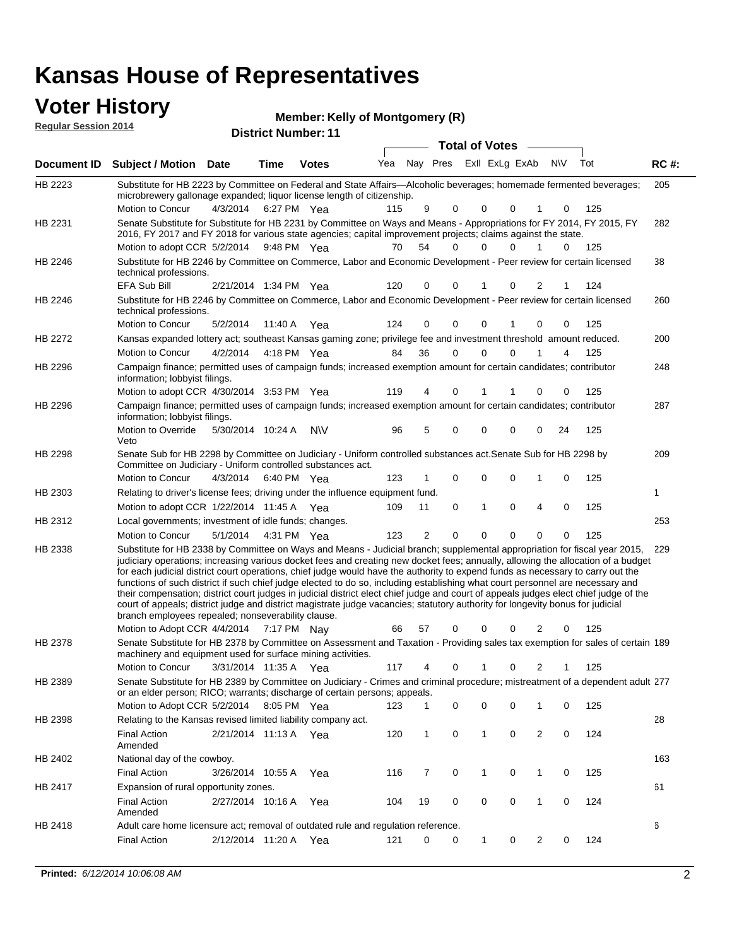### **Voter History Member:**

| <b>VULGE LIBLUTY</b>        |                                  |             |      | <b>Member: Kelly of Montgomery (R)</b> |     |     |       |  |
|-----------------------------|----------------------------------|-------------|------|----------------------------------------|-----|-----|-------|--|
| <b>Regular Session 2014</b> |                                  |             |      | <b>District Number: 11</b>             |     |     |       |  |
|                             |                                  |             |      |                                        |     |     | Total |  |
|                             | Document ID – Subiect / Motion – | <b>Date</b> | Time | Votes                                  | Yea | Nav | Pres  |  |

|             |                                                                                                                                                                                                                                                                                                                                                                                                                                                                                                                                                                                                                                                                                                                                                                                                                                                                                                                 |                       |             |              |     |                | <b>Total of Votes</b>       |             |   | $\frac{1}{2}$  |             |     |             |
|-------------|-----------------------------------------------------------------------------------------------------------------------------------------------------------------------------------------------------------------------------------------------------------------------------------------------------------------------------------------------------------------------------------------------------------------------------------------------------------------------------------------------------------------------------------------------------------------------------------------------------------------------------------------------------------------------------------------------------------------------------------------------------------------------------------------------------------------------------------------------------------------------------------------------------------------|-----------------------|-------------|--------------|-----|----------------|-----------------------------|-------------|---|----------------|-------------|-----|-------------|
| Document ID | <b>Subject / Motion Date</b>                                                                                                                                                                                                                                                                                                                                                                                                                                                                                                                                                                                                                                                                                                                                                                                                                                                                                    |                       | <b>Time</b> | <b>Votes</b> | Yea |                | Nay Pres ExII ExLg ExAb N\V |             |   |                |             | Tot | <b>RC#:</b> |
| HB 2223     | Substitute for HB 2223 by Committee on Federal and State Affairs—Alcoholic beverages; homemade fermented beverages;<br>microbrewery gallonage expanded; liquor license length of citizenship.<br>Motion to Concur                                                                                                                                                                                                                                                                                                                                                                                                                                                                                                                                                                                                                                                                                               | 4/3/2014              | 6:27 PM Yea |              | 115 | 9              | 0                           | 0           | 0 |                | 0           | 125 | 205         |
| HB 2231     | Senate Substitute for Substitute for HB 2231 by Committee on Ways and Means - Appropriations for FY 2014, FY 2015, FY<br>2016, FY 2017 and FY 2018 for various state agencies; capital improvement projects; claims against the state.<br>Motion to adopt CCR 5/2/2014 9:48 PM Yea                                                                                                                                                                                                                                                                                                                                                                                                                                                                                                                                                                                                                              |                       |             |              | 70  | 54             | 0                           | 0           | 0 | $\mathbf{1}$   | 0           | 125 | 282         |
| HB 2246     | Substitute for HB 2246 by Committee on Commerce, Labor and Economic Development - Peer review for certain licensed<br>technical professions.                                                                                                                                                                                                                                                                                                                                                                                                                                                                                                                                                                                                                                                                                                                                                                    |                       |             |              |     |                |                             |             |   |                |             |     | 38          |
|             | EFA Sub Bill                                                                                                                                                                                                                                                                                                                                                                                                                                                                                                                                                                                                                                                                                                                                                                                                                                                                                                    | 2/21/2014 1:34 PM Yea |             |              | 120 | 0              | 0                           | 1           | 0 | 2              |             | 124 |             |
| HB 2246     | Substitute for HB 2246 by Committee on Commerce, Labor and Economic Development - Peer review for certain licensed<br>technical professions.                                                                                                                                                                                                                                                                                                                                                                                                                                                                                                                                                                                                                                                                                                                                                                    |                       |             |              |     |                |                             |             |   |                |             |     | 260         |
|             | Motion to Concur                                                                                                                                                                                                                                                                                                                                                                                                                                                                                                                                                                                                                                                                                                                                                                                                                                                                                                | 5/2/2014              | 11:40 A     | Yea          | 124 | 0              | 0                           | 0           |   | 0              | 0           | 125 |             |
| HB 2272     | Kansas expanded lottery act; southeast Kansas gaming zone; privilege fee and investment threshold amount reduced.                                                                                                                                                                                                                                                                                                                                                                                                                                                                                                                                                                                                                                                                                                                                                                                               |                       |             |              |     |                |                             |             |   |                |             |     | 200         |
|             | Motion to Concur                                                                                                                                                                                                                                                                                                                                                                                                                                                                                                                                                                                                                                                                                                                                                                                                                                                                                                | 4/2/2014              |             | 4:18 PM Yea  | 84  | 36             | 0                           | $\Omega$    | 0 |                | 4           | 125 |             |
| HB 2296     | Campaign finance; permitted uses of campaign funds; increased exemption amount for certain candidates; contributor<br>information; lobbyist filings.                                                                                                                                                                                                                                                                                                                                                                                                                                                                                                                                                                                                                                                                                                                                                            |                       |             |              |     |                |                             |             |   |                |             |     | 248         |
|             | Motion to adopt CCR 4/30/2014 3:53 PM Yea                                                                                                                                                                                                                                                                                                                                                                                                                                                                                                                                                                                                                                                                                                                                                                                                                                                                       |                       |             |              | 119 | 4              | 0                           | 1           | 1 | 0              | 0           | 125 |             |
| HB 2296     | Campaign finance; permitted uses of campaign funds; increased exemption amount for certain candidates; contributor<br>information; lobbyist filings.<br>Motion to Override                                                                                                                                                                                                                                                                                                                                                                                                                                                                                                                                                                                                                                                                                                                                      | 5/30/2014 10:24 A     |             | N\V          | 96  | 5              | 0                           | $\Omega$    | 0 | 0              | 24          | 125 | 287         |
|             | Veto                                                                                                                                                                                                                                                                                                                                                                                                                                                                                                                                                                                                                                                                                                                                                                                                                                                                                                            |                       |             |              |     |                |                             |             |   |                |             |     |             |
| HB 2298     | Senate Sub for HB 2298 by Committee on Judiciary - Uniform controlled substances act. Senate Sub for HB 2298 by<br>Committee on Judiciary - Uniform controlled substances act.                                                                                                                                                                                                                                                                                                                                                                                                                                                                                                                                                                                                                                                                                                                                  |                       |             |              |     |                |                             |             |   |                |             |     | 209         |
|             | Motion to Concur                                                                                                                                                                                                                                                                                                                                                                                                                                                                                                                                                                                                                                                                                                                                                                                                                                                                                                | 4/3/2014              |             | 6:40 PM Yea  | 123 | 1              | 0                           | 0           | 0 | 1              | $\mathbf 0$ | 125 |             |
| HB 2303     | Relating to driver's license fees; driving under the influence equipment fund.                                                                                                                                                                                                                                                                                                                                                                                                                                                                                                                                                                                                                                                                                                                                                                                                                                  |                       |             |              |     |                |                             |             |   |                |             |     | 1           |
|             | Motion to adopt CCR 1/22/2014 11:45 A Yea                                                                                                                                                                                                                                                                                                                                                                                                                                                                                                                                                                                                                                                                                                                                                                                                                                                                       |                       |             |              | 109 | 11             | 0                           | 1           | 0 | 4              | 0           | 125 |             |
| HB 2312     | Local governments; investment of idle funds; changes.                                                                                                                                                                                                                                                                                                                                                                                                                                                                                                                                                                                                                                                                                                                                                                                                                                                           |                       |             |              |     |                |                             |             |   |                |             |     | 253         |
|             | Motion to Concur                                                                                                                                                                                                                                                                                                                                                                                                                                                                                                                                                                                                                                                                                                                                                                                                                                                                                                | 5/1/2014              | 4:31 PM Yea |              | 123 | $\overline{2}$ | $\mathbf 0$                 | $\mathbf 0$ | 0 | 0              | $\mathbf 0$ | 125 |             |
| HB 2338     | Substitute for HB 2338 by Committee on Ways and Means - Judicial branch; supplemental appropriation for fiscal year 2015,<br>judiciary operations; increasing various docket fees and creating new docket fees; annually, allowing the allocation of a budget<br>for each judicial district court operations, chief judge would have the authority to expend funds as necessary to carry out the<br>functions of such district if such chief judge elected to do so, including establishing what court personnel are necessary and<br>their compensation; district court judges in judicial district elect chief judge and court of appeals judges elect chief judge of the<br>court of appeals; district judge and district magistrate judge vacancies; statutory authority for longevity bonus for judicial<br>branch employees repealed; nonseverability clause.<br>Motion to Adopt CCR 4/4/2014 7:17 PM Nay |                       |             |              | 66  | 57             | 0                           | 0           | 0 | 2              | 0           | 125 | 229         |
| HB 2378     | Senate Substitute for HB 2378 by Committee on Assessment and Taxation - Providing sales tax exemption for sales of certain 189<br>machinery and equipment used for surface mining activities.                                                                                                                                                                                                                                                                                                                                                                                                                                                                                                                                                                                                                                                                                                                   |                       |             |              |     |                |                             |             |   |                |             |     |             |
|             | Motion to Concur                                                                                                                                                                                                                                                                                                                                                                                                                                                                                                                                                                                                                                                                                                                                                                                                                                                                                                | 3/31/2014 11:35 A Yea |             |              | 117 | 4              | 0                           | 1           | 0 | $\overline{2}$ | 1           | 125 |             |
| HB 2389     | Senate Substitute for HB 2389 by Committee on Judiciary - Crimes and criminal procedure; mistreatment of a dependent adult 277<br>or an elder person; RICO; warrants; discharge of certain persons; appeals.                                                                                                                                                                                                                                                                                                                                                                                                                                                                                                                                                                                                                                                                                                    |                       |             |              |     |                |                             |             |   |                |             |     |             |
|             | Motion to Adopt CCR 5/2/2014                                                                                                                                                                                                                                                                                                                                                                                                                                                                                                                                                                                                                                                                                                                                                                                                                                                                                    |                       | 8:05 PM Yea |              | 123 | 1              | 0                           | 0           | 0 | 1              | 0           | 125 |             |
| HB 2398     | Relating to the Kansas revised limited liability company act.                                                                                                                                                                                                                                                                                                                                                                                                                                                                                                                                                                                                                                                                                                                                                                                                                                                   |                       |             |              |     |                |                             |             |   |                |             |     | 28          |
|             | <b>Final Action</b><br>Amended                                                                                                                                                                                                                                                                                                                                                                                                                                                                                                                                                                                                                                                                                                                                                                                                                                                                                  | 2/21/2014 11:13 A Yea |             |              | 120 | 1              | 0                           | 1           | 0 | 2              | 0           | 124 |             |
| HB 2402     | National day of the cowboy.                                                                                                                                                                                                                                                                                                                                                                                                                                                                                                                                                                                                                                                                                                                                                                                                                                                                                     |                       |             |              |     |                |                             |             |   |                |             |     | 163         |
|             | <b>Final Action</b>                                                                                                                                                                                                                                                                                                                                                                                                                                                                                                                                                                                                                                                                                                                                                                                                                                                                                             | 3/26/2014 10:55 A     |             | Yea          | 116 | 7              | 0                           | 1           | 0 | $\mathbf{1}$   | 0           | 125 |             |
| HB 2417     | Expansion of rural opportunity zones.                                                                                                                                                                                                                                                                                                                                                                                                                                                                                                                                                                                                                                                                                                                                                                                                                                                                           |                       |             |              |     |                |                             |             |   |                |             |     | 61          |
|             | <b>Final Action</b><br>Amended                                                                                                                                                                                                                                                                                                                                                                                                                                                                                                                                                                                                                                                                                                                                                                                                                                                                                  | 2/27/2014 10:16 A     |             | Yea          | 104 | 19             | 0                           | 0           | 0 | $\mathbf{1}$   | 0           | 124 |             |
| HB 2418     | Adult care home licensure act; removal of outdated rule and regulation reference.<br><b>Final Action</b>                                                                                                                                                                                                                                                                                                                                                                                                                                                                                                                                                                                                                                                                                                                                                                                                        | 2/12/2014 11:20 A Yea |             |              | 121 | 0              | 0                           | 1           | 0 | $\overline{2}$ | 0           | 124 | 6           |
|             |                                                                                                                                                                                                                                                                                                                                                                                                                                                                                                                                                                                                                                                                                                                                                                                                                                                                                                                 |                       |             |              |     |                |                             |             |   |                |             |     |             |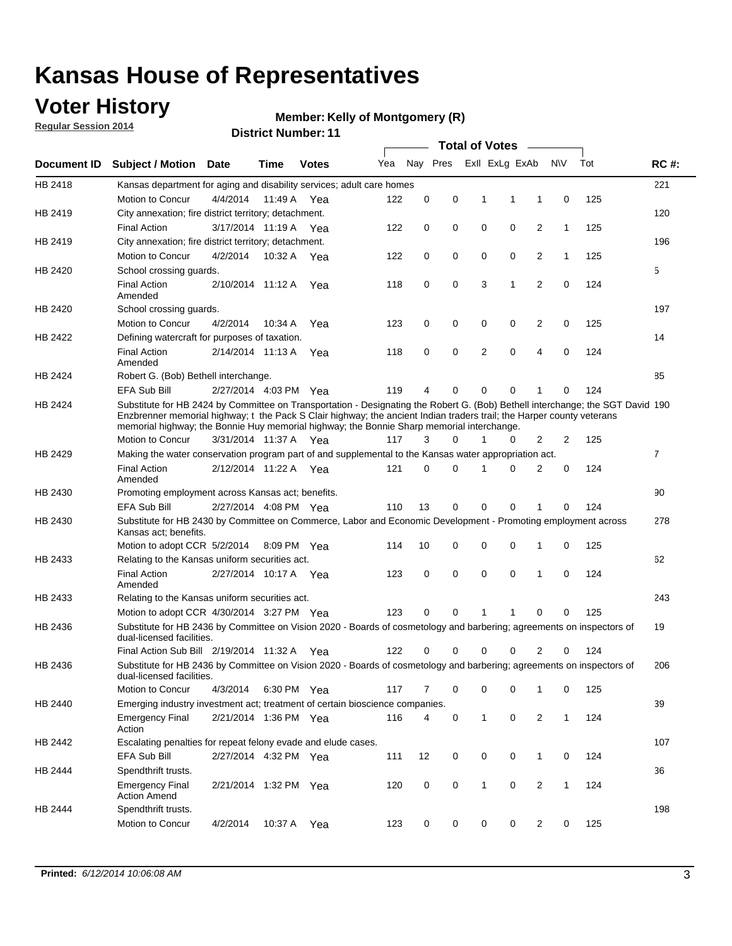## **Voter History**

**Regular Session 2014**

#### **Member: Kelly of Montgomery (R)**

|                    |                                                                                                                                                                                                                                                                                                                                                      |                       |             | <b>DISTRICT MAILINGLE LI</b> |     |          |          |              | <b>Total of Votes</b> | $\sim$                  |              |     |                |
|--------------------|------------------------------------------------------------------------------------------------------------------------------------------------------------------------------------------------------------------------------------------------------------------------------------------------------------------------------------------------------|-----------------------|-------------|------------------------------|-----|----------|----------|--------------|-----------------------|-------------------------|--------------|-----|----------------|
| <b>Document ID</b> | <b>Subject / Motion Date</b>                                                                                                                                                                                                                                                                                                                         |                       | Time        | <b>Votes</b>                 | Yea |          | Nay Pres |              | Exll ExLg ExAb        |                         | <b>NV</b>    | Tot | <b>RC#:</b>    |
| HB 2418            | Kansas department for aging and disability services; adult care homes                                                                                                                                                                                                                                                                                |                       |             |                              |     |          |          |              |                       |                         |              |     | 221            |
|                    | Motion to Concur                                                                                                                                                                                                                                                                                                                                     | 4/4/2014              | 11:49 A     | Yea                          | 122 | 0        | 0        | 1            | 1                     | 1                       | 0            | 125 |                |
| HB 2419            | City annexation; fire district territory; detachment.                                                                                                                                                                                                                                                                                                |                       |             |                              |     |          |          |              |                       |                         |              |     | 120            |
|                    | <b>Final Action</b>                                                                                                                                                                                                                                                                                                                                  | 3/17/2014 11:19 A Yea |             |                              | 122 | 0        | 0        | 0            | 0                     | 2                       | $\mathbf{1}$ | 125 |                |
| HB 2419            | City annexation; fire district territory; detachment.                                                                                                                                                                                                                                                                                                |                       |             |                              |     |          |          |              |                       |                         |              |     | 196            |
|                    | Motion to Concur                                                                                                                                                                                                                                                                                                                                     | 4/2/2014              | 10:32 A Yea |                              | 122 | 0        | 0        | 0            | 0                     | 2                       | $\mathbf{1}$ | 125 |                |
| HB 2420            | School crossing guards.                                                                                                                                                                                                                                                                                                                              |                       |             |                              |     |          |          |              |                       |                         |              |     | 5              |
|                    | <b>Final Action</b><br>Amended                                                                                                                                                                                                                                                                                                                       | 2/10/2014 11:12 A     |             | Yea                          | 118 | 0        | 0        | 3            | 1                     | 2                       | $\mathbf 0$  | 124 |                |
| HB 2420            | School crossing guards.                                                                                                                                                                                                                                                                                                                              |                       |             |                              |     |          |          |              |                       |                         |              |     | 197            |
|                    | Motion to Concur                                                                                                                                                                                                                                                                                                                                     | 4/2/2014              | 10:34 A     | Yea                          | 123 | 0        | 0        | 0            | 0                     | $\overline{\mathbf{c}}$ | 0            | 125 |                |
| HB 2422            | Defining watercraft for purposes of taxation.                                                                                                                                                                                                                                                                                                        |                       |             |                              |     |          |          |              |                       |                         |              |     | 14             |
|                    | <b>Final Action</b><br>Amended                                                                                                                                                                                                                                                                                                                       | 2/14/2014 11:13 A     |             | Yea                          | 118 | 0        | 0        | 2            | 0                     | 4                       | $\mathbf 0$  | 124 |                |
| HB 2424            | Robert G. (Bob) Bethell interchange.                                                                                                                                                                                                                                                                                                                 |                       |             |                              |     |          |          |              |                       |                         |              |     | 85             |
|                    | EFA Sub Bill                                                                                                                                                                                                                                                                                                                                         | 2/27/2014 4:03 PM Yea |             |                              | 119 | 4        | 0        | $\Omega$     | 0                     | 1                       | 0            | 124 |                |
| HB 2424            | Substitute for HB 2424 by Committee on Transportation - Designating the Robert G. (Bob) Bethell interchange; the SGT David 190<br>Enzbrenner memorial highway; t the Pack S Clair highway; the ancient Indian traders trail; the Harper county veterans<br>memorial highway; the Bonnie Huy memorial highway; the Bonnie Sharp memorial interchange. |                       |             |                              |     |          |          |              |                       |                         |              |     |                |
|                    | Motion to Concur                                                                                                                                                                                                                                                                                                                                     | 3/31/2014 11:37 A Yea |             |                              | 117 | 3        | $\Omega$ | 1            | 0                     | 2                       | 2            | 125 |                |
| HB 2429            | Making the water conservation program part of and supplemental to the Kansas water appropriation act.                                                                                                                                                                                                                                                |                       |             |                              |     |          |          |              |                       |                         |              |     | $\overline{7}$ |
|                    | <b>Final Action</b><br>Amended                                                                                                                                                                                                                                                                                                                       | 2/12/2014 11:22 A Yea |             |                              | 121 | $\Omega$ | $\Omega$ | 1            | $\Omega$              | $\overline{2}$          | 0            | 124 |                |
| HB 2430            | Promoting employment across Kansas act; benefits.                                                                                                                                                                                                                                                                                                    |                       |             |                              |     |          |          |              |                       |                         |              |     | 90             |
|                    | <b>EFA Sub Bill</b>                                                                                                                                                                                                                                                                                                                                  | 2/27/2014 4:08 PM Yea |             |                              | 110 | 13       | 0        | $\mathbf 0$  | 0                     |                         | 0            | 124 |                |
| HB 2430            | Substitute for HB 2430 by Committee on Commerce, Labor and Economic Development - Promoting employment across<br>Kansas act; benefits.                                                                                                                                                                                                               |                       |             |                              |     |          |          |              |                       |                         |              |     | 278            |
|                    | Motion to adopt CCR 5/2/2014                                                                                                                                                                                                                                                                                                                         |                       | 8:09 PM Yea |                              | 114 | 10       | 0        | 0            | 0                     | 1                       | 0            | 125 |                |
| HB 2433            | Relating to the Kansas uniform securities act.                                                                                                                                                                                                                                                                                                       |                       |             |                              |     |          |          |              |                       |                         |              |     | 62             |
|                    | <b>Final Action</b><br>Amended                                                                                                                                                                                                                                                                                                                       | 2/27/2014 10:17 A Yea |             |                              | 123 | 0        | 0        | $\mathbf 0$  | $\mathbf 0$           | 1                       | 0            | 124 |                |
| HB 2433            | Relating to the Kansas uniform securities act.                                                                                                                                                                                                                                                                                                       |                       |             |                              |     |          |          |              |                       |                         |              |     | 243            |
|                    | Motion to adopt CCR 4/30/2014 3:27 PM Yea                                                                                                                                                                                                                                                                                                            |                       |             |                              | 123 | $\Omega$ | $\Omega$ | 1            | 1                     | $\Omega$                | 0            | 125 |                |
| HB 2436            | Substitute for HB 2436 by Committee on Vision 2020 - Boards of cosmetology and barbering; agreements on inspectors of<br>dual-licensed facilities.                                                                                                                                                                                                   |                       |             |                              |     |          |          |              |                       |                         |              |     | 19             |
|                    | Final Action Sub Bill 2/19/2014 11:32 A                                                                                                                                                                                                                                                                                                              |                       |             | Yea                          | 122 | 0        | 0        | O            |                       | 2                       | 0            | 124 |                |
| HB 2436            | Substitute for HB 2436 by Committee on Vision 2020 - Boards of cosmetology and barbering; agreements on inspectors of<br>dual-licensed facilities.                                                                                                                                                                                                   |                       |             |                              |     |          |          |              |                       |                         |              |     | 206            |
|                    | Motion to Concur                                                                                                                                                                                                                                                                                                                                     | 4/3/2014              | 6:30 PM Yea |                              | 117 | 7        | 0        | 0            | 0                     | 1                       | 0            | 125 |                |
| HB 2440            | Emerging industry investment act; treatment of certain bioscience companies.                                                                                                                                                                                                                                                                         |                       |             |                              |     |          |          |              |                       |                         |              |     | 39             |
|                    | <b>Emergency Final</b><br>Action                                                                                                                                                                                                                                                                                                                     | 2/21/2014 1:36 PM Yea |             |                              | 116 | 4        | 0        | $\mathbf{1}$ | 0                     | 2                       | $\mathbf{1}$ | 124 |                |
| HB 2442            | Escalating penalties for repeat felony evade and elude cases.                                                                                                                                                                                                                                                                                        |                       |             |                              |     |          |          |              |                       |                         |              |     | 107            |
|                    | EFA Sub Bill                                                                                                                                                                                                                                                                                                                                         | 2/27/2014 4:32 PM Yea |             |                              | 111 | 12       | 0        | 0            | 0                     | $\mathbf{1}$            | 0            | 124 |                |
| HB 2444            | Spendthrift trusts.                                                                                                                                                                                                                                                                                                                                  |                       |             |                              |     |          |          |              |                       |                         |              |     | 36             |
|                    | <b>Emergency Final</b><br><b>Action Amend</b>                                                                                                                                                                                                                                                                                                        | 2/21/2014 1:32 PM Yea |             |                              | 120 | 0        | 0        | $\mathbf{1}$ | 0                     | $\overline{2}$          | $\mathbf{1}$ | 124 |                |
| HB 2444            | Spendthrift trusts.                                                                                                                                                                                                                                                                                                                                  |                       |             |                              |     |          |          |              |                       |                         |              |     | 198            |
|                    | Motion to Concur                                                                                                                                                                                                                                                                                                                                     | 4/2/2014              | 10:37 A     | Yea                          | 123 | 0        | 0        | 0            | 0                     | 2                       | 0            | 125 |                |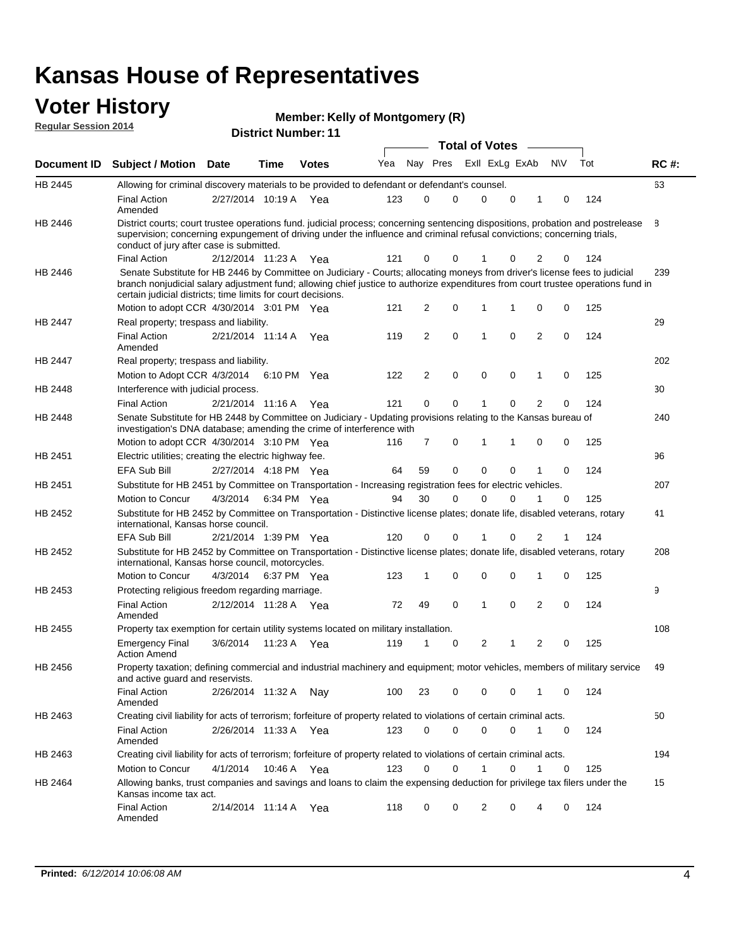### **Voter History Regular Sessi**

|  | <b>Member: Kelly of Montgomery (R)</b> |  |
|--|----------------------------------------|--|
|--|----------------------------------------|--|

|          |                         |             | <b>Member: Kelly of Montgomery (K)</b> |     |          |                       |
|----------|-------------------------|-------------|----------------------------------------|-----|----------|-----------------------|
| ion 2014 |                         |             | <b>District Number: 11</b>             |     |          |                       |
|          |                         |             |                                        |     |          | <b>Total of Votes</b> |
|          | ) Cubinat / Matian Data | <b>Tima</b> | りんもへへ                                  | Yea | Nav Proc | Evil Evin I           |

|                | Document ID Subject / Motion Date                                                                                                                                                                                                                                                                                               |                       | Time | <b>Votes</b> | Yea | Nay Pres       |   |             | ExII ExLg ExAb |              | <b>NV</b>   | Tot | <b>RC#:</b> |
|----------------|---------------------------------------------------------------------------------------------------------------------------------------------------------------------------------------------------------------------------------------------------------------------------------------------------------------------------------|-----------------------|------|--------------|-----|----------------|---|-------------|----------------|--------------|-------------|-----|-------------|
| HB 2445        | Allowing for criminal discovery materials to be provided to defendant or defendant's counsel.                                                                                                                                                                                                                                   |                       |      |              |     |                |   |             |                |              |             |     | 63          |
|                | <b>Final Action</b><br>Amended                                                                                                                                                                                                                                                                                                  | 2/27/2014 10:19 A Yea |      |              | 123 | 0              | 0 | $\mathbf 0$ | 0              | 1            | 0           | 124 |             |
| <b>HB 2446</b> | District courts; court trustee operations fund. judicial process; concerning sentencing dispositions, probation and postrelease<br>supervision; concerning expungement of driving under the influence and criminal refusal convictions; concerning trials,<br>conduct of jury after case is submitted.                          |                       |      |              |     |                |   |             |                |              |             |     | 8           |
|                | <b>Final Action</b>                                                                                                                                                                                                                                                                                                             | 2/12/2014 11:23 A Yea |      |              | 121 | 0              | 0 |             | 0              | 2            | 0           | 124 |             |
| HB 2446        | Senate Substitute for HB 2446 by Committee on Judiciary - Courts; allocating moneys from driver's license fees to judicial<br>branch nonjudicial salary adjustment fund; allowing chief justice to authorize expenditures from court trustee operations fund in<br>certain judicial districts; time limits for court decisions. |                       |      |              |     |                |   |             |                |              |             |     | 239         |
|                | Motion to adopt CCR 4/30/2014 3:01 PM Yea                                                                                                                                                                                                                                                                                       |                       |      |              | 121 | 2              | 0 | 1           | 1              | 0            | 0           | 125 |             |
| <b>HB 2447</b> | Real property; trespass and liability.                                                                                                                                                                                                                                                                                          |                       |      |              |     |                |   |             |                |              |             |     | 29          |
|                | <b>Final Action</b><br>Amended                                                                                                                                                                                                                                                                                                  | 2/21/2014 11:14 A     |      | Yea          | 119 | $\overline{2}$ | 0 | 1           | $\mathbf 0$    | $\mathbf{2}$ | $\mathbf 0$ | 124 |             |
| HB 2447        | Real property; trespass and liability.                                                                                                                                                                                                                                                                                          |                       |      |              |     |                |   |             |                |              |             |     | 202         |
|                | Motion to Adopt CCR 4/3/2014 6:10 PM Yea                                                                                                                                                                                                                                                                                        |                       |      |              | 122 | 2              | 0 | 0           | 0              | 1            | 0           | 125 |             |
| HB 2448        | Interference with judicial process.                                                                                                                                                                                                                                                                                             |                       |      |              |     |                |   |             |                |              |             |     | 30          |
|                | <b>Final Action</b>                                                                                                                                                                                                                                                                                                             | 2/21/2014 11:16 A     |      | Yea          | 121 | 0              | 0 | 1           | 0              | 2            | 0           | 124 |             |
| HB 2448        | Senate Substitute for HB 2448 by Committee on Judiciary - Updating provisions relating to the Kansas bureau of<br>investigation's DNA database; amending the crime of interference with                                                                                                                                         |                       |      |              |     |                |   |             |                |              |             |     | 240         |
|                | Motion to adopt CCR 4/30/2014 3:10 PM Yea                                                                                                                                                                                                                                                                                       |                       |      |              | 116 | 7              | 0 | 1           |                | 0            | 0           | 125 |             |
| HB 2451        | Electric utilities; creating the electric highway fee.                                                                                                                                                                                                                                                                          |                       |      |              |     |                |   |             |                |              |             |     | 96          |
|                | <b>EFA Sub Bill</b>                                                                                                                                                                                                                                                                                                             | 2/27/2014 4:18 PM Yea |      |              | 64  | 59             | 0 | $\mathbf 0$ | 0              | 1            | $\mathbf 0$ | 124 |             |
| HB 2451        | Substitute for HB 2451 by Committee on Transportation - Increasing registration fees for electric vehicles.                                                                                                                                                                                                                     |                       |      |              |     |                |   |             |                |              |             |     | 207         |
|                | Motion to Concur                                                                                                                                                                                                                                                                                                                | 4/3/2014              |      | 6:34 PM Yea  | 94  | 30             | 0 | $\Omega$    | 0              |              | 0           | 125 |             |
| HB 2452        | Substitute for HB 2452 by Committee on Transportation - Distinctive license plates; donate life, disabled veterans, rotary<br>international, Kansas horse council.                                                                                                                                                              |                       |      |              |     |                |   |             |                |              |             |     | 41          |
|                | <b>EFA Sub Bill</b>                                                                                                                                                                                                                                                                                                             | 2/21/2014 1:39 PM Yea |      |              | 120 | 0              | 0 | 1           | 0              | 2            | 1           | 124 |             |
| HB 2452        | Substitute for HB 2452 by Committee on Transportation - Distinctive license plates; donate life, disabled veterans, rotary<br>international, Kansas horse council, motorcycles.                                                                                                                                                 |                       |      |              |     |                |   |             |                |              |             |     | 208         |
|                | Motion to Concur                                                                                                                                                                                                                                                                                                                | 4/3/2014              |      | 6:37 PM Yea  | 123 | 1              | 0 | 0           | 0              | 1            | 0           | 125 |             |
| HB 2453        | Protecting religious freedom regarding marriage.                                                                                                                                                                                                                                                                                |                       |      |              |     |                |   |             |                |              |             |     | 9           |
|                | <b>Final Action</b><br>Amended                                                                                                                                                                                                                                                                                                  | 2/12/2014 11:28 A Yea |      |              | 72  | 49             | 0 | 1           | $\mathbf 0$    | 2            | 0           | 124 |             |
| HB 2455        | Property tax exemption for certain utility systems located on military installation.                                                                                                                                                                                                                                            |                       |      |              |     |                |   |             |                |              |             |     | 108         |
|                | <b>Emergency Final</b><br><b>Action Amend</b>                                                                                                                                                                                                                                                                                   | 3/6/2014              |      | 11:23 A Yea  | 119 | 1              | 0 | 2           | 1              | 2            | 0           | 125 |             |
| HB 2456        | Property taxation; defining commercial and industrial machinery and equipment; motor vehicles, members of military service<br>and active guard and reservists.                                                                                                                                                                  |                       |      |              |     |                |   |             |                |              |             |     | 49          |
|                | Final Action<br>Amended                                                                                                                                                                                                                                                                                                         | 2/26/2014 11:32 A     |      | Nay          | 100 | 23             | 0 | 0           | 0              | 1            | 0           | 124 |             |
| HB 2463        | Creating civil liability for acts of terrorism; forfeiture of property related to violations of certain criminal acts.                                                                                                                                                                                                          |                       |      |              |     |                |   |             |                |              |             |     | 50          |
|                | <b>Final Action</b><br>Amended                                                                                                                                                                                                                                                                                                  | 2/26/2014 11:33 A Yea |      |              | 123 | 0              | 0 | 0           | 0              | 1            | 0           | 124 |             |
| HB 2463        | Creating civil liability for acts of terrorism; forfeiture of property related to violations of certain criminal acts.                                                                                                                                                                                                          |                       |      |              |     |                |   |             |                |              |             |     | 194         |
|                | Motion to Concur                                                                                                                                                                                                                                                                                                                | 4/1/2014              |      | 10:46 A Yea  | 123 | 0              | 0 | 1           | 0              | 1            | 0           | 125 |             |
| HB 2464        | Allowing banks, trust companies and savings and loans to claim the expensing deduction for privilege tax filers under the<br>Kansas income tax act.                                                                                                                                                                             |                       |      |              |     |                |   |             |                |              |             |     | 15          |
|                | <b>Final Action</b><br>Amended                                                                                                                                                                                                                                                                                                  | 2/14/2014 11:14 A Yea |      |              | 118 | 0              | 0 | 2           | 0              | 4            | 0           | 124 |             |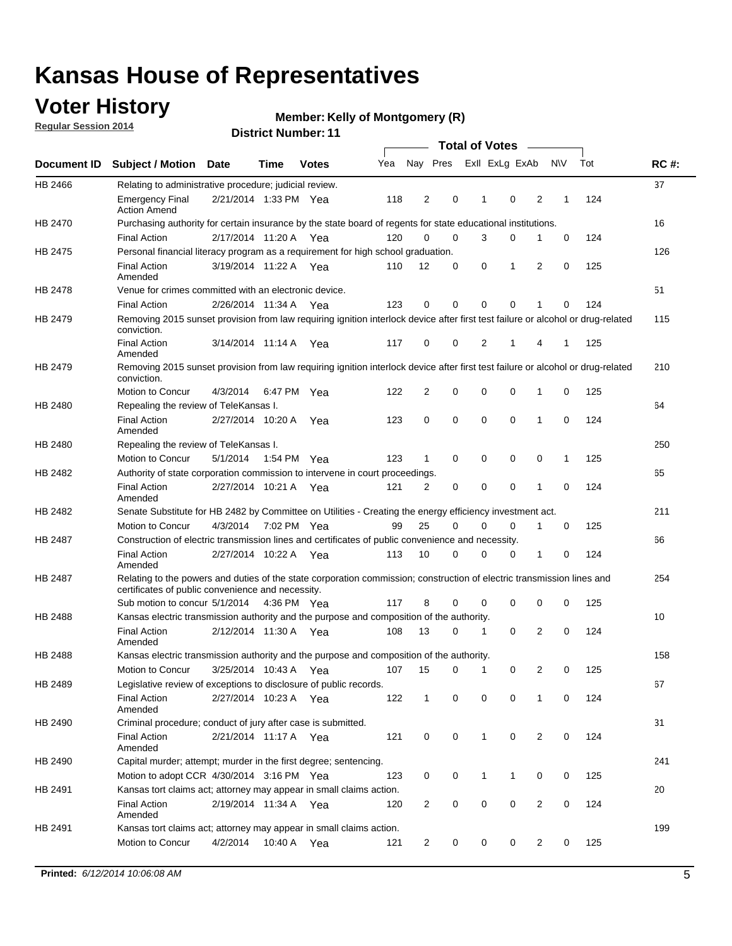## **Voter History**

**Regular Session 2014**

#### **Member: Kelly of Montgomery (R)**

|                |                                                                                                                                                                             |                       |             |              |     |                |             | <b>Total of Votes</b> |              |                |   |             |     |             |
|----------------|-----------------------------------------------------------------------------------------------------------------------------------------------------------------------------|-----------------------|-------------|--------------|-----|----------------|-------------|-----------------------|--------------|----------------|---|-------------|-----|-------------|
|                | Document ID Subject / Motion Date                                                                                                                                           |                       | Time        | <b>Votes</b> | Yea |                | Nay Pres    |                       |              | Exll ExLg ExAb |   | <b>NV</b>   | Tot | <b>RC#:</b> |
| HB 2466        | Relating to administrative procedure; judicial review.                                                                                                                      |                       |             |              |     |                |             |                       |              |                |   |             |     | 37          |
|                | <b>Emergency Final</b><br><b>Action Amend</b>                                                                                                                               | 2/21/2014 1:33 PM Yea |             |              | 118 | 2              | 0           |                       | 1            | 0              | 2 | 1           | 124 |             |
| <b>HB 2470</b> | Purchasing authority for certain insurance by the state board of regents for state educational institutions.                                                                |                       |             |              |     |                |             |                       |              |                |   |             |     | 16          |
|                | <b>Final Action</b>                                                                                                                                                         | 2/17/2014 11:20 A Yea |             |              | 120 | 0              | 0           |                       | 3            | 0              | 1 | 0           | 124 |             |
| HB 2475        | Personal financial literacy program as a requirement for high school graduation.                                                                                            |                       |             |              |     |                |             |                       |              |                |   |             |     | 126         |
|                | <b>Final Action</b><br>Amended                                                                                                                                              | 3/19/2014 11:22 A Yea |             |              | 110 | 12             | 0           |                       | 0            | 1              | 2 | $\mathbf 0$ | 125 |             |
| HB 2478        | Venue for crimes committed with an electronic device.                                                                                                                       |                       |             |              |     |                |             |                       |              |                |   |             |     | 51          |
|                | <b>Final Action</b>                                                                                                                                                         | 2/26/2014 11:34 A     |             | Yea          | 123 | 0              | 0           |                       | $\mathbf 0$  | $\mathbf 0$    | 1 | 0           | 124 |             |
| HB 2479        | Removing 2015 sunset provision from law requiring ignition interlock device after first test failure or alcohol or drug-related<br>conviction.                              |                       |             |              |     |                |             |                       |              |                |   |             |     | 115         |
|                | <b>Final Action</b><br>Amended                                                                                                                                              | 3/14/2014 11:14 A     |             | Yea          | 117 | $\mathbf 0$    | 0           |                       | 2            | 1              | 4 | 1           | 125 |             |
| HB 2479        | Removing 2015 sunset provision from law requiring ignition interlock device after first test failure or alcohol or drug-related<br>conviction.                              |                       |             |              |     |                |             |                       |              |                |   |             |     | 210         |
|                | <b>Motion to Concur</b>                                                                                                                                                     | 4/3/2014              |             | 6:47 PM Yea  | 122 | $\overline{2}$ | 0           |                       | 0            | $\mathbf 0$    | 1 | 0           | 125 |             |
| HB 2480        | Repealing the review of TeleKansas I.                                                                                                                                       |                       |             |              |     |                |             |                       |              |                |   |             |     | 64          |
|                | <b>Final Action</b><br>Amended                                                                                                                                              | 2/27/2014 10:20 A     |             | Yea          | 123 | 0              | 0           |                       | $\mathbf 0$  | $\mathbf 0$    | 1 | 0           | 124 |             |
| HB 2480        | Repealing the review of TeleKansas I.                                                                                                                                       |                       |             |              |     |                |             |                       |              |                |   |             |     | 250         |
|                | Motion to Concur                                                                                                                                                            | 5/1/2014              |             | 1:54 PM Yea  | 123 | 1              | 0           |                       | 0            | 0              | 0 | 1           | 125 |             |
| <b>HB 2482</b> | Authority of state corporation commission to intervene in court proceedings.                                                                                                |                       |             |              |     |                |             |                       |              |                |   |             |     | 65          |
|                | <b>Final Action</b><br>Amended                                                                                                                                              | 2/27/2014 10:21 A     |             | Yea          | 121 | $\overline{2}$ | 0           |                       | $\mathbf 0$  | $\mathbf 0$    | 1 | $\mathbf 0$ | 124 |             |
| HB 2482        | Senate Substitute for HB 2482 by Committee on Utilities - Creating the energy efficiency investment act.                                                                    |                       |             |              |     |                |             |                       |              |                |   |             |     | 211         |
|                | Motion to Concur                                                                                                                                                            | 4/3/2014              | 7:02 PM Yea |              | 99  | 25             | $\mathbf 0$ |                       | 0            | $\mathbf 0$    | 1 | 0           | 125 |             |
| HB 2487        | Construction of electric transmission lines and certificates of public convenience and necessity.                                                                           |                       |             |              |     |                |             |                       |              |                |   |             |     | 66          |
|                | <b>Final Action</b><br>Amended                                                                                                                                              | 2/27/2014 10:22 A     |             | Yea          | 113 | 10             | 0           |                       | 0            | 0              | 1 | 0           | 124 |             |
| HB 2487        | Relating to the powers and duties of the state corporation commission; construction of electric transmission lines and<br>certificates of public convenience and necessity. |                       |             |              |     |                |             |                       |              |                |   |             |     | 254         |
|                | Sub motion to concur 5/1/2014                                                                                                                                               |                       |             | 4:36 PM Yea  | 117 | 8              | 0           |                       | 0            | 0              | 0 | 0           | 125 |             |
| <b>HB 2488</b> | Kansas electric transmission authority and the purpose and composition of the authority.                                                                                    |                       |             |              |     |                |             |                       |              |                |   |             |     | 10          |
|                | <b>Final Action</b><br>Amended                                                                                                                                              | 2/12/2014 11:30 A     |             | Yea          | 108 | 13             | 0           |                       | 1            | 0              | 2 | 0           | 124 |             |
| <b>HB 2488</b> | Kansas electric transmission authority and the purpose and composition of the authority.                                                                                    |                       |             |              |     |                |             |                       |              |                |   |             |     | 158         |
|                | Motion to Concur                                                                                                                                                            | 3/25/2014 10:43 A     |             | Yea          | 107 | 15             | 0           |                       | 1            | 0              | 2 | 0           | 125 |             |
| HB 2489        | Legislative review of exceptions to disclosure of public records.                                                                                                           |                       |             |              |     |                |             |                       |              |                |   |             |     | 67          |
|                | <b>Final Action</b><br>Amended                                                                                                                                              | 2/27/2014 10:23 A Yea |             |              | 122 | $\mathbf 1$    | 0           |                       | 0            | 0              | 1 | 0           | 124 |             |
| HB 2490        | Criminal procedure; conduct of jury after case is submitted.                                                                                                                |                       |             |              |     |                |             |                       |              |                |   |             |     | 31          |
|                | <b>Final Action</b><br>Amended                                                                                                                                              | 2/21/2014 11:17 A Yea |             |              | 121 | 0              | 0           |                       | $\mathbf{1}$ | $\mathbf 0$    | 2 | 0           | 124 |             |
| HB 2490        | Capital murder; attempt; murder in the first degree; sentencing.                                                                                                            |                       |             |              |     |                |             |                       |              |                |   |             |     | 241         |
|                | Motion to adopt CCR 4/30/2014 3:16 PM Yea                                                                                                                                   |                       |             |              | 123 | 0              | 0           |                       | $\mathbf 1$  | 1              | 0 | 0           | 125 |             |
| HB 2491        | Kansas tort claims act; attorney may appear in small claims action.                                                                                                         |                       |             |              |     |                |             |                       |              |                |   |             |     | 20          |
|                | <b>Final Action</b><br>Amended                                                                                                                                              | 2/19/2014 11:34 A Yea |             |              | 120 | $\overline{c}$ | 0           |                       | 0            | $\pmb{0}$      | 2 | 0           | 124 |             |
| HB 2491        | Kansas tort claims act; attorney may appear in small claims action.                                                                                                         |                       |             |              |     |                |             |                       |              |                |   |             |     | 199         |
|                | Motion to Concur                                                                                                                                                            | 4/2/2014              |             | 10:40 A Yea  | 121 | 2              | 0           |                       | 0            | 0              | 2 | 0           | 125 |             |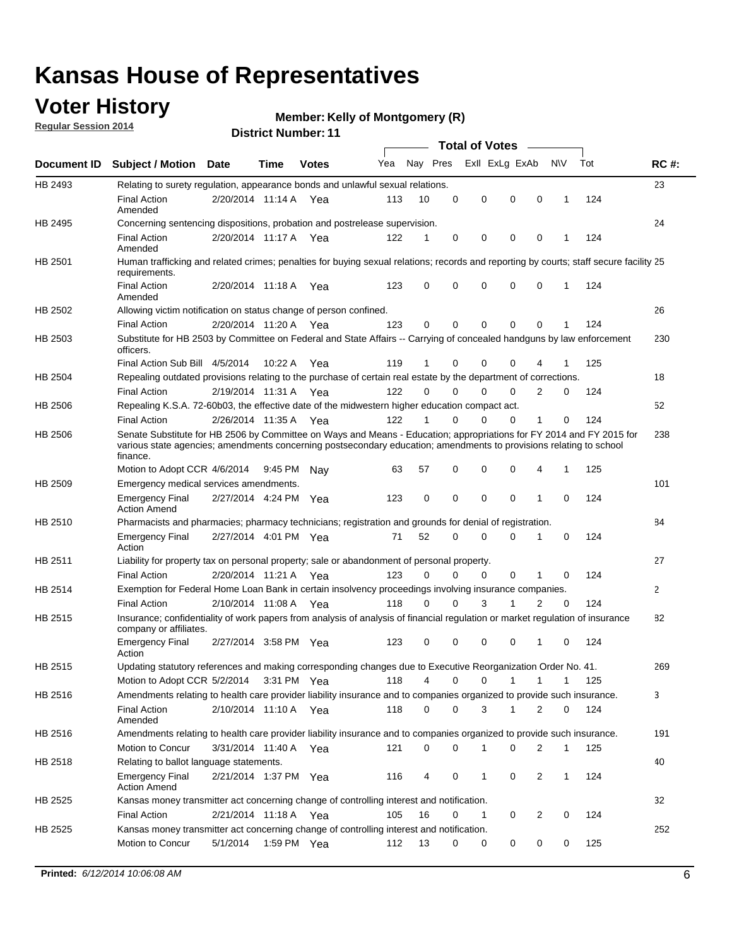## **Voter History**

**Regular Session 2014**

#### **Member: Kelly of Montgomery (R)**

|                |                                                                                                                                                                                                                                                        |                       |             | <b>DISTRICT MAILINGLE LI</b> |     |          |             | Total of Votes – |             |                |             |     |              |
|----------------|--------------------------------------------------------------------------------------------------------------------------------------------------------------------------------------------------------------------------------------------------------|-----------------------|-------------|------------------------------|-----|----------|-------------|------------------|-------------|----------------|-------------|-----|--------------|
| Document ID    | <b>Subject / Motion Date</b>                                                                                                                                                                                                                           |                       | Time        | <b>Votes</b>                 | Yea |          | Nay Pres    | Exll ExLg ExAb   |             | N\V            |             | Tot | <b>RC#:</b>  |
| HB 2493        | Relating to surety regulation, appearance bonds and unlawful sexual relations.                                                                                                                                                                         |                       |             |                              |     |          |             |                  |             |                |             |     | 23           |
|                | Final Action<br>Amended                                                                                                                                                                                                                                | 2/20/2014 11:14 A Yea |             |                              | 113 | 10       | $\mathbf 0$ | 0                | $\mathbf 0$ | $\mathbf 0$    | 1           | 124 |              |
| HB 2495        | Concerning sentencing dispositions, probation and postrelease supervision.                                                                                                                                                                             |                       |             |                              |     |          |             |                  |             |                |             |     | 24           |
|                | <b>Final Action</b><br>Amended                                                                                                                                                                                                                         | 2/20/2014 11:17 A     |             | Yea                          | 122 | 1        | $\mathbf 0$ | 0                | 0           | 0              | 1           | 124 |              |
| HB 2501        | Human trafficking and related crimes; penalties for buying sexual relations; records and reporting by courts; staff secure facility 25<br>requirements.                                                                                                |                       |             |                              |     |          |             |                  |             |                |             |     |              |
|                | <b>Final Action</b><br>Amended                                                                                                                                                                                                                         | 2/20/2014 11:18 A Yea |             |                              | 123 | 0        | 0           | 0                | $\Omega$    | 0              | 1           | 124 |              |
| HB 2502        | Allowing victim notification on status change of person confined.                                                                                                                                                                                      |                       |             |                              |     |          |             |                  |             |                |             |     | 26           |
|                | <b>Final Action</b>                                                                                                                                                                                                                                    | 2/20/2014 11:20 A Yea |             |                              | 123 | 0        | 0           | 0                | $\mathbf 0$ | 0              |             | 124 |              |
| HB 2503        | Substitute for HB 2503 by Committee on Federal and State Affairs -- Carrying of concealed handguns by law enforcement<br>officers.                                                                                                                     |                       |             |                              |     |          |             |                  |             |                |             |     | 230          |
|                | Final Action Sub Bill 4/5/2014                                                                                                                                                                                                                         |                       | 10:22 A     | Yea                          | 119 | 1        | 0           | 0                | 0           |                |             | 125 |              |
| <b>HB 2504</b> | Repealing outdated provisions relating to the purchase of certain real estate by the department of corrections.                                                                                                                                        |                       |             |                              |     |          |             |                  |             |                |             |     | 18           |
|                | <b>Final Action</b>                                                                                                                                                                                                                                    | 2/19/2014 11:31 A Yea |             |                              | 122 | $\Omega$ | 0           | 0                | 0           | 2              | 0           | 124 |              |
| HB 2506        | Repealing K.S.A. 72-60b03, the effective date of the midwestern higher education compact act.                                                                                                                                                          |                       |             |                              |     |          |             |                  |             |                |             |     | 52           |
|                | <b>Final Action</b>                                                                                                                                                                                                                                    | 2/26/2014 11:35 A Yea |             |                              | 122 | 1        | $\mathbf 0$ | 0                | 0           | 1              | 0           | 124 |              |
| HB 2506        | Senate Substitute for HB 2506 by Committee on Ways and Means - Education; appropriations for FY 2014 and FY 2015 for<br>various state agencies; amendments concerning postsecondary education; amendments to provisions relating to school<br>finance. |                       |             |                              |     |          |             |                  |             |                |             |     | 238          |
|                | Motion to Adopt CCR 4/6/2014                                                                                                                                                                                                                           |                       | 9:45 PM Nav |                              | 63  | 57       | 0           | 0                | $\mathbf 0$ | 4              | 1           | 125 |              |
| HB 2509        | Emergency medical services amendments.                                                                                                                                                                                                                 |                       |             |                              |     |          |             |                  |             |                |             |     | 101          |
|                | <b>Emergency Final</b><br><b>Action Amend</b>                                                                                                                                                                                                          | 2/27/2014 4:24 PM Yea |             |                              | 123 | 0        | $\mathbf 0$ | $\mathbf 0$      | $\Omega$    | $\overline{1}$ | $\Omega$    | 124 |              |
| HB 2510        | Pharmacists and pharmacies; pharmacy technicians; registration and grounds for denial of registration.                                                                                                                                                 |                       |             |                              |     |          |             |                  |             |                |             |     | 84           |
|                | <b>Emergency Final</b><br>Action                                                                                                                                                                                                                       | 2/27/2014 4:01 PM Yea |             |                              | 71  | 52       | 0           | 0                | $\Omega$    | 1              | 0           | 124 |              |
| HB 2511        | Liability for property tax on personal property; sale or abandonment of personal property.                                                                                                                                                             |                       |             |                              |     |          |             |                  |             |                |             |     | 27           |
|                | <b>Final Action</b>                                                                                                                                                                                                                                    | 2/20/2014 11:21 A     |             | Yea                          | 123 | 0        | 0           | 0                | 0           | 1              | 0           | 124 |              |
| HB 2514        | Exemption for Federal Home Loan Bank in certain insolvency proceedings involving insurance companies.                                                                                                                                                  |                       |             |                              |     |          |             |                  |             |                |             |     | $\mathbf{2}$ |
|                | <b>Final Action</b>                                                                                                                                                                                                                                    | 2/10/2014 11:08 A     |             | Yea                          | 118 | 0        | $\Omega$    | 3                | 1           | $\overline{2}$ | $\mathbf 0$ | 124 |              |
| HB 2515        | Insurance; confidentiality of work papers from analysis of analysis of financial regulation or market regulation of insurance<br>company or affiliates.                                                                                                |                       |             |                              |     |          |             |                  |             |                |             |     | 82           |
|                | <b>Emergency Final</b><br>Action                                                                                                                                                                                                                       | 2/27/2014 3:58 PM Yea |             |                              | 123 | 0        | 0           | 0                | 0           | -1             | 0           | 124 |              |
| HB 2515        | Updating statutory references and making corresponding changes due to Executive Reorganization Order No. 41.                                                                                                                                           |                       |             |                              |     |          |             |                  |             |                |             |     | 269          |
|                | Motion to Adopt CCR 5/2/2014 3:31 PM Yea                                                                                                                                                                                                               |                       |             |                              | 118 | 4        | 0           | 0                | 1           | 1              | 1           | 125 |              |
| HB 2516        | Amendments relating to health care provider liability insurance and to companies organized to provide such insurance.                                                                                                                                  |                       |             |                              |     |          |             |                  |             |                |             |     | 3            |
|                | <b>Final Action</b><br>Amended                                                                                                                                                                                                                         | 2/10/2014 11:10 A Yea |             |                              | 118 | 0        | 0           | 3                | 1           | 2              | 0           | 124 |              |
| HB 2516        | Amendments relating to health care provider liability insurance and to companies organized to provide such insurance.                                                                                                                                  |                       |             |                              |     |          |             |                  |             |                |             |     | 191          |
|                | Motion to Concur                                                                                                                                                                                                                                       | 3/31/2014 11:40 A Yea |             |                              | 121 | 0        | 0           | 1                | 0           | 2              | 1           | 125 |              |
| HB 2518        | Relating to ballot language statements.                                                                                                                                                                                                                |                       |             |                              |     |          |             |                  |             |                |             |     | 40           |
|                | <b>Emergency Final</b><br><b>Action Amend</b>                                                                                                                                                                                                          | 2/21/2014 1:37 PM Yea |             |                              | 116 | 4        | 0           | 1                | 0           | $\overline{2}$ | 1           | 124 |              |
| HB 2525        | Kansas money transmitter act concerning change of controlling interest and notification.                                                                                                                                                               |                       |             |                              |     |          |             |                  |             |                |             |     | 32           |
|                | <b>Final Action</b>                                                                                                                                                                                                                                    | 2/21/2014 11:18 A Yea |             |                              | 105 | 16       | 0           | 1                | 0           | $\overline{2}$ | 0           | 124 |              |
| HB 2525        | Kansas money transmitter act concerning change of controlling interest and notification.                                                                                                                                                               |                       |             |                              |     |          |             |                  |             |                |             |     | 252          |
|                | Motion to Concur                                                                                                                                                                                                                                       | 5/1/2014              | 1:59 PM Yea |                              | 112 | 13       | 0           | 0                | 0           | 0              | 0           | 125 |              |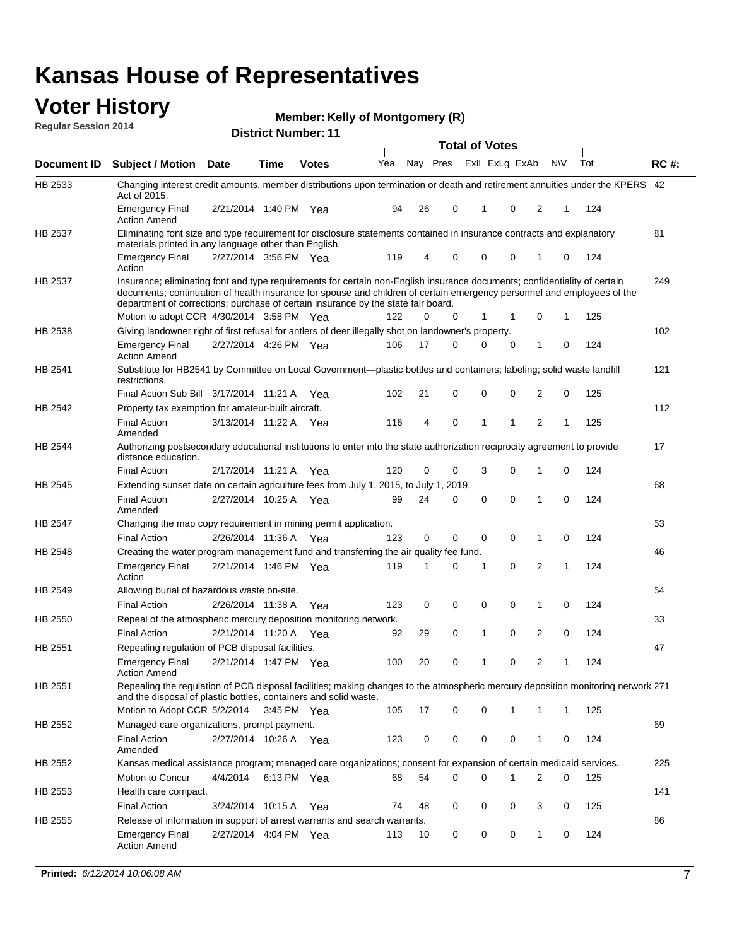#### **Voter History Regular Session 2014**

|  |  | <b>Member: Kelly of Montgomery (R)</b> |  |
|--|--|----------------------------------------|--|
|--|--|----------------------------------------|--|

|                |                                                                                                                                                                                                                                                                                                                                           |                       |             | <b>DISTING MATTINGLE I</b> |     |    |          | <b>Total of Votes</b> |             | $\sim$         |                |              |     |             |
|----------------|-------------------------------------------------------------------------------------------------------------------------------------------------------------------------------------------------------------------------------------------------------------------------------------------------------------------------------------------|-----------------------|-------------|----------------------------|-----|----|----------|-----------------------|-------------|----------------|----------------|--------------|-----|-------------|
| Document ID    | <b>Subject / Motion Date</b>                                                                                                                                                                                                                                                                                                              |                       | Time        | <b>Votes</b>               | Yea |    | Nay Pres |                       |             | Exll ExLg ExAb | N\V            |              | Tot | <b>RC#:</b> |
| HB 2533        | Changing interest credit amounts, member distributions upon termination or death and retirement annuities under the KPERS 42<br>Act of 2015.                                                                                                                                                                                              |                       |             |                            |     |    |          |                       |             |                |                |              |     |             |
|                | <b>Emergency Final</b><br><b>Action Amend</b>                                                                                                                                                                                                                                                                                             | 2/21/2014 1:40 PM Yea |             |                            | 94  | 26 | 0        |                       | 1           | $\mathbf 0$    | 2              | 1            | 124 |             |
| HB 2537        | Eliminating font size and type requirement for disclosure statements contained in insurance contracts and explanatory<br>materials printed in any language other than English.                                                                                                                                                            |                       |             |                            |     |    |          |                       |             |                |                |              |     | 81          |
|                | <b>Emergency Final</b><br>Action                                                                                                                                                                                                                                                                                                          | 2/27/2014 3:56 PM Yea |             |                            | 119 | 4  | 0        |                       | 0           | $\mathbf 0$    | 1              | $\mathbf 0$  | 124 |             |
| HB 2537        | Insurance; eliminating font and type requirements for certain non-English insurance documents; confidentiality of certain<br>documents; continuation of health insurance for spouse and children of certain emergency personnel and employees of the<br>department of corrections; purchase of certain insurance by the state fair board. |                       |             |                            |     |    |          |                       |             |                |                |              |     | 249         |
|                | Motion to adopt CCR 4/30/2014 3:58 PM Yea                                                                                                                                                                                                                                                                                                 |                       |             |                            | 122 | 0  | 0        |                       | 1           | 1              | 0              | 1            | 125 |             |
| HB 2538        | Giving landowner right of first refusal for antlers of deer illegally shot on landowner's property.                                                                                                                                                                                                                                       |                       |             |                            |     |    |          |                       |             |                |                |              |     | 102         |
|                | <b>Emergency Final</b><br><b>Action Amend</b>                                                                                                                                                                                                                                                                                             | 2/27/2014 4:26 PM Yea |             |                            | 106 | 17 | 0        |                       | 0           | 0              | 1              | 0            | 124 |             |
| HB 2541        | Substitute for HB2541 by Committee on Local Government—plastic bottles and containers; labeling; solid waste landfill<br>restrictions.                                                                                                                                                                                                    |                       |             |                            |     |    |          |                       |             |                |                |              |     | 121         |
|                | Final Action Sub Bill 3/17/2014 11:21 A Yea                                                                                                                                                                                                                                                                                               |                       |             |                            | 102 | 21 | 0        |                       | 0           | 0              | 2              | 0            | 125 |             |
| HB 2542        | Property tax exemption for amateur-built aircraft.<br><b>Final Action</b>                                                                                                                                                                                                                                                                 | 3/13/2014 11:22 A Yea |             |                            | 116 | 4  | 0        |                       | 1           | 1              | $\overline{2}$ | 1            | 125 | 112         |
| HB 2544        | Amended<br>Authorizing postsecondary educational institutions to enter into the state authorization reciprocity agreement to provide<br>distance education.                                                                                                                                                                               |                       |             |                            |     |    |          |                       |             |                |                |              |     | 17          |
|                | <b>Final Action</b>                                                                                                                                                                                                                                                                                                                       | 2/17/2014 11:21 A Yea |             |                            | 120 | 0  | 0        |                       | 3           | 0              | 1              | 0            | 124 |             |
| HB 2545        | Extending sunset date on certain agriculture fees from July 1, 2015, to July 1, 2019.                                                                                                                                                                                                                                                     |                       |             |                            |     |    |          |                       |             |                |                |              |     | 68          |
|                | <b>Final Action</b><br>Amended                                                                                                                                                                                                                                                                                                            | 2/27/2014 10:25 A Yea |             |                            | 99  | 24 | 0        |                       | $\mathbf 0$ | $\mathbf 0$    | 1              | 0            | 124 |             |
| <b>HB 2547</b> | Changing the map copy requirement in mining permit application.                                                                                                                                                                                                                                                                           |                       |             |                            |     |    |          |                       |             |                |                |              |     | 53          |
|                | <b>Final Action</b>                                                                                                                                                                                                                                                                                                                       | 2/26/2014 11:36 A     |             | Yea                        | 123 | 0  | 0        |                       | 0           | 0              | $\mathbf{1}$   | 0            | 124 |             |
| HB 2548        | Creating the water program management fund and transferring the air quality fee fund.                                                                                                                                                                                                                                                     |                       |             |                            |     |    |          |                       |             |                |                |              |     | 46          |
|                | <b>Emergency Final</b><br>Action                                                                                                                                                                                                                                                                                                          | 2/21/2014 1:46 PM Yea |             |                            | 119 | 1  | 0        |                       | 1           | 0              | $\overline{2}$ | $\mathbf{1}$ | 124 |             |
| HB 2549        | Allowing burial of hazardous waste on-site.                                                                                                                                                                                                                                                                                               |                       |             |                            |     |    |          |                       |             |                |                |              |     | 54          |
|                | <b>Final Action</b>                                                                                                                                                                                                                                                                                                                       | 2/26/2014 11:38 A     |             | Yea                        | 123 | 0  | 0        |                       | 0           | $\mathbf 0$    | 1              | $\mathbf 0$  | 124 |             |
| HB 2550        | Repeal of the atmospheric mercury deposition monitoring network.                                                                                                                                                                                                                                                                          |                       |             |                            |     |    |          |                       |             |                |                |              |     | 33          |
|                | <b>Final Action</b>                                                                                                                                                                                                                                                                                                                       | 2/21/2014 11:20 A     |             | Yea                        | 92  | 29 | 0        |                       | 1           | 0              | $\overline{2}$ | $\mathbf 0$  | 124 |             |
| HB 2551        | Repealing regulation of PCB disposal facilities.                                                                                                                                                                                                                                                                                          |                       |             |                            |     |    |          |                       |             |                |                |              |     | 47          |
|                | <b>Emergency Final</b><br>Action Amend                                                                                                                                                                                                                                                                                                    | 2/21/2014 1:47 PM Yea |             |                            | 100 | 20 | 0        |                       | 1           | 0              | 2              | 1            | 124 |             |
| HB 2551        | Repealing the regulation of PCB disposal facilities; making changes to the atmospheric mercury deposition monitoring network 271<br>and the disposal of plastic bottles, containers and solid waste.                                                                                                                                      |                       |             |                            |     |    |          |                       |             |                |                |              |     |             |
|                | Motion to Adopt CCR 5/2/2014 3:45 PM Yea                                                                                                                                                                                                                                                                                                  |                       |             |                            | 105 | 17 | 0        |                       | 0           |                | 1              | 1            | 125 |             |
| HB 2552        | Managed care organizations, prompt payment.                                                                                                                                                                                                                                                                                               |                       |             |                            |     |    |          |                       |             |                |                |              |     | 69          |
|                | <b>Final Action</b><br>Amended                                                                                                                                                                                                                                                                                                            | 2/27/2014 10:26 A Yea |             |                            | 123 | 0  | 0        |                       | 0           | 0              | 1              | 0            | 124 |             |
| HB 2552        | Kansas medical assistance program; managed care organizations; consent for expansion of certain medicaid services.                                                                                                                                                                                                                        |                       |             |                            |     |    |          |                       |             |                |                |              |     | 225         |
|                | Motion to Concur                                                                                                                                                                                                                                                                                                                          | 4/4/2014              | 6:13 PM Yea |                            | 68  | 54 | 0        |                       | 0           | 1              | 2              | 0            | 125 |             |
| HB 2553        | Health care compact.                                                                                                                                                                                                                                                                                                                      |                       |             |                            |     |    |          |                       |             |                |                |              |     | 141         |
|                | <b>Final Action</b>                                                                                                                                                                                                                                                                                                                       | 3/24/2014 10:15 A     |             | Yea                        | 74  | 48 | 0        |                       | 0           | 0              | 3              | 0            | 125 |             |
| HB 2555        | Release of information in support of arrest warrants and search warrants.                                                                                                                                                                                                                                                                 |                       |             |                            |     |    |          |                       |             |                |                |              |     | 86          |
|                | <b>Emergency Final</b><br><b>Action Amend</b>                                                                                                                                                                                                                                                                                             | 2/27/2014 4:04 PM Yea |             |                            | 113 | 10 | 0        |                       | 0           | 0              | 1              | 0            | 124 |             |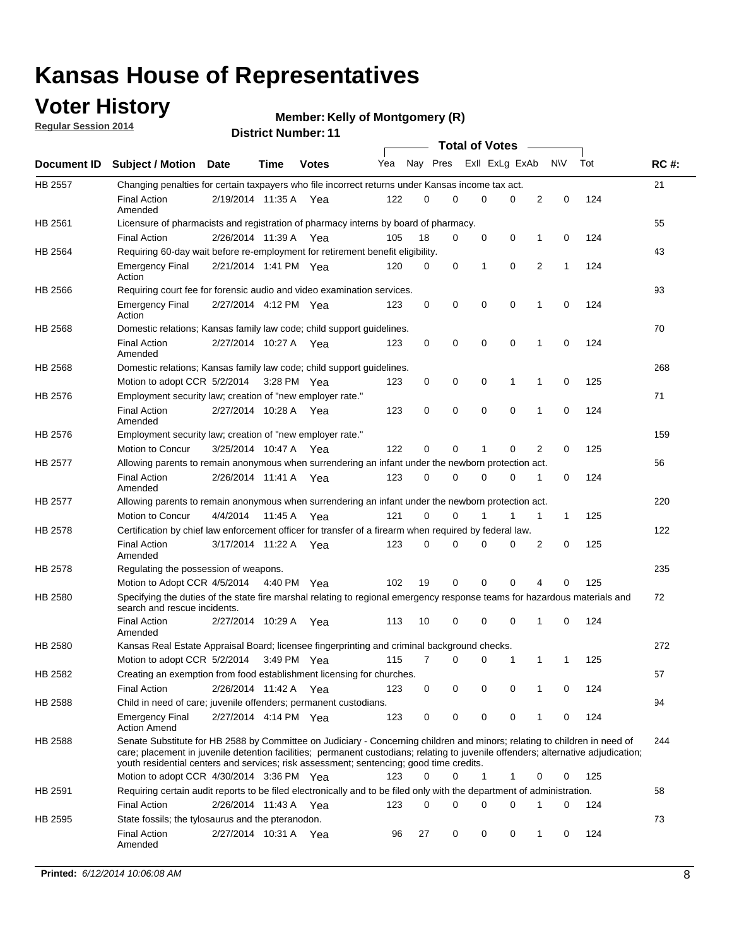## **Voter History**

**Regular Session 2014**

#### **Member: Kelly of Montgomery (R)**

|                |                                                                                                                                                                                                                                                                                                                                                           |                       |         |              |     |          |   | <b>Total of Votes</b> |             |              |             |     |             |
|----------------|-----------------------------------------------------------------------------------------------------------------------------------------------------------------------------------------------------------------------------------------------------------------------------------------------------------------------------------------------------------|-----------------------|---------|--------------|-----|----------|---|-----------------------|-------------|--------------|-------------|-----|-------------|
|                | Document ID Subject / Motion Date                                                                                                                                                                                                                                                                                                                         |                       | Time    | <b>Votes</b> | Yea | Nay Pres |   | Exll ExLg ExAb        |             |              | <b>NV</b>   | Tot | <b>RC#:</b> |
| <b>HB 2557</b> | Changing penalties for certain taxpayers who file incorrect returns under Kansas income tax act.                                                                                                                                                                                                                                                          |                       |         |              |     |          |   |                       |             |              |             |     | 21          |
|                | <b>Final Action</b><br>Amended                                                                                                                                                                                                                                                                                                                            | 2/19/2014 11:35 A     |         | Yea          | 122 | 0        | 0 | 0                     | 0           | 2            | $\mathbf 0$ | 124 |             |
| HB 2561        | Licensure of pharmacists and registration of pharmacy interns by board of pharmacy.                                                                                                                                                                                                                                                                       |                       |         |              |     |          |   |                       |             |              |             |     | 55          |
|                | <b>Final Action</b>                                                                                                                                                                                                                                                                                                                                       | 2/26/2014 11:39 A Yea |         |              | 105 | 18       | 0 | 0                     | 0           | 1            | 0           | 124 |             |
| HB 2564        | Requiring 60-day wait before re-employment for retirement benefit eligibility.                                                                                                                                                                                                                                                                            |                       |         |              |     |          |   |                       |             |              |             |     | 43          |
|                | <b>Emergency Final</b><br>Action                                                                                                                                                                                                                                                                                                                          | 2/21/2014 1:41 PM Yea |         |              | 120 | 0        | 0 | 1                     | 0           | 2            | 1           | 124 |             |
| HB 2566        | Requiring court fee for forensic audio and video examination services.                                                                                                                                                                                                                                                                                    |                       |         |              |     |          |   |                       |             |              |             |     | 93          |
|                | <b>Emergency Final</b><br>Action                                                                                                                                                                                                                                                                                                                          | 2/27/2014 4:12 PM Yea |         |              | 123 | 0        | 0 | 0                     | $\mathbf 0$ | $\mathbf{1}$ | 0           | 124 |             |
| HB 2568        | Domestic relations; Kansas family law code; child support guidelines.                                                                                                                                                                                                                                                                                     |                       |         |              |     |          |   |                       |             |              |             |     | 70          |
|                | <b>Final Action</b><br>Amended                                                                                                                                                                                                                                                                                                                            | 2/27/2014 10:27 A     |         | Yea          | 123 | 0        | 0 | 0                     | $\mathbf 0$ | 1            | 0           | 124 |             |
| HB 2568        | Domestic relations; Kansas family law code; child support guidelines.                                                                                                                                                                                                                                                                                     |                       |         |              |     |          |   |                       |             |              |             |     | 268         |
|                | Motion to adopt CCR 5/2/2014                                                                                                                                                                                                                                                                                                                              |                       |         | 3:28 PM Yea  | 123 | 0        | 0 | 0                     | 1           | 1            | $\mathbf 0$ | 125 |             |
| HB 2576        | Employment security law; creation of "new employer rate."                                                                                                                                                                                                                                                                                                 |                       |         |              |     |          |   |                       |             |              |             |     | 71          |
|                | <b>Final Action</b><br>Amended                                                                                                                                                                                                                                                                                                                            | 2/27/2014 10:28 A Yea |         |              | 123 | 0        | 0 | 0                     | 0           | 1            | 0           | 124 |             |
| HB 2576        | Employment security law; creation of "new employer rate."                                                                                                                                                                                                                                                                                                 |                       |         |              |     |          |   |                       |             |              |             |     | 159         |
|                | Motion to Concur                                                                                                                                                                                                                                                                                                                                          | 3/25/2014 10:47 A     |         | Yea          | 122 | 0        | 0 | 1                     | 0           | 2            | 0           | 125 |             |
| HB 2577        | Allowing parents to remain anonymous when surrendering an infant under the newborn protection act.                                                                                                                                                                                                                                                        |                       |         |              |     |          |   |                       |             |              |             |     | 56          |
|                | <b>Final Action</b><br>Amended                                                                                                                                                                                                                                                                                                                            | 2/26/2014 11:41 A Yea |         |              | 123 | $\Omega$ | 0 | 0                     | $\Omega$    | 1            | 0           | 124 |             |
| HB 2577        | Allowing parents to remain anonymous when surrendering an infant under the newborn protection act.                                                                                                                                                                                                                                                        |                       |         |              |     |          |   |                       |             |              |             |     | 220         |
|                | Motion to Concur                                                                                                                                                                                                                                                                                                                                          | 4/4/2014              | 11:45 A | Yea          | 121 | $\Omega$ | 0 | 1                     | 1           | 1            | 1           | 125 |             |
| HB 2578        | Certification by chief law enforcement officer for transfer of a firearm when required by federal law.                                                                                                                                                                                                                                                    |                       |         |              |     |          |   |                       |             |              |             |     | 122         |
|                | <b>Final Action</b><br>Amended                                                                                                                                                                                                                                                                                                                            | 3/17/2014 11:22 A     |         | Yea          | 123 | 0        | 0 | 0                     | 0           | 2            | 0           | 125 |             |
| HB 2578        | Regulating the possession of weapons.                                                                                                                                                                                                                                                                                                                     |                       |         |              |     |          |   |                       |             |              |             |     | 235         |
|                | Motion to Adopt CCR 4/5/2014 4:40 PM Yea                                                                                                                                                                                                                                                                                                                  |                       |         |              | 102 | 19       | 0 | 0                     | 0           | 4            | 0           | 125 |             |
| HB 2580        | Specifying the duties of the state fire marshal relating to regional emergency response teams for hazardous materials and<br>search and rescue incidents.                                                                                                                                                                                                 |                       |         |              |     |          |   |                       |             |              |             |     | 72          |
|                | <b>Final Action</b><br>Amended                                                                                                                                                                                                                                                                                                                            | 2/27/2014 10:29 A     |         | Yea          | 113 | 10       | 0 | 0                     | $\mathbf 0$ | 1            | 0           | 124 |             |
| HB 2580        | Kansas Real Estate Appraisal Board; licensee fingerprinting and criminal background checks.                                                                                                                                                                                                                                                               |                       |         |              |     |          |   |                       |             |              |             |     | 272         |
|                | Motion to adopt CCR 5/2/2014                                                                                                                                                                                                                                                                                                                              |                       |         | 3:49 PM Yea  | 115 | 7        | 0 | 0                     | 1           | 1            | 1           | 125 |             |
| HB 2582        | Creating an exemption from food establishment licensing for churches.                                                                                                                                                                                                                                                                                     |                       |         |              |     |          |   |                       |             |              |             |     | 57          |
|                | <b>Final Action</b>                                                                                                                                                                                                                                                                                                                                       | 2/26/2014 11:42 A Yea |         |              | 123 | 0        | 0 | 0                     | 0           |              | 0           | 124 |             |
| HB 2588        | Child in need of care; juvenile offenders; permanent custodians.                                                                                                                                                                                                                                                                                          |                       |         |              |     |          |   |                       |             |              |             |     | 94          |
|                | <b>Emergency Final</b><br><b>Action Amend</b>                                                                                                                                                                                                                                                                                                             | 2/27/2014 4:14 PM Yea |         |              | 123 | 0        | 0 | 0                     | 0           | 1            | 0           | 124 |             |
| HB 2588        | Senate Substitute for HB 2588 by Committee on Judiciary - Concerning children and minors; relating to children in need of<br>care; placement in juvenile detention facilities; permanent custodians; relating to juvenile offenders; alternative adjudication;<br>youth residential centers and services; risk assessment; sentencing; good time credits. |                       |         |              |     |          |   |                       |             |              |             |     | 244         |
|                | Motion to adopt CCR 4/30/2014 3:36 PM Yea                                                                                                                                                                                                                                                                                                                 |                       |         |              | 123 | 0        | 0 | 1                     | 1           | 0            | 0           | 125 |             |
| HB 2591        | Requiring certain audit reports to be filed electronically and to be filed only with the department of administration.                                                                                                                                                                                                                                    |                       |         |              |     |          |   |                       |             |              |             |     | 58          |
|                | <b>Final Action</b>                                                                                                                                                                                                                                                                                                                                       | 2/26/2014 11:43 A Yea |         |              | 123 | 0        | 0 | 0                     | 0           | 1            | 0           | 124 |             |
| HB 2595        | State fossils; the tylosaurus and the pteranodon.                                                                                                                                                                                                                                                                                                         |                       |         |              |     |          |   |                       |             |              |             |     | 73          |
|                | <b>Final Action</b><br>Amended                                                                                                                                                                                                                                                                                                                            | 2/27/2014 10:31 A Yea |         |              | 96  | 27       | 0 | 0                     | 0           | 1            | 0           | 124 |             |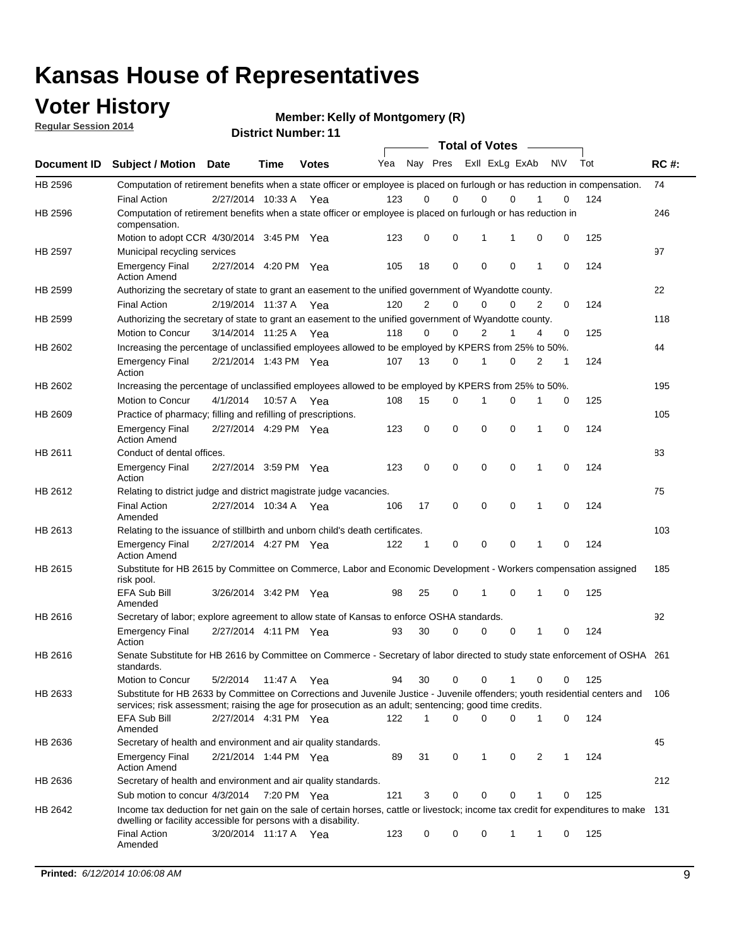## **Voter History**

**Regular Session 2014**

**Member: Kelly of Montgomery (R)** 

|  |  | <b>District Number: 11</b> |  |
|--|--|----------------------------|--|
|--|--|----------------------------|--|

|             |                                                                                                                                                                                                                                       |                       |             |              |     |             | <b>Total of Votes</b>   |             |             |              |           |     |             |
|-------------|---------------------------------------------------------------------------------------------------------------------------------------------------------------------------------------------------------------------------------------|-----------------------|-------------|--------------|-----|-------------|-------------------------|-------------|-------------|--------------|-----------|-----|-------------|
| Document ID | <b>Subject / Motion Date</b>                                                                                                                                                                                                          |                       | <b>Time</b> | <b>Votes</b> | Yea |             | Nay Pres Exll ExLg ExAb |             |             |              | <b>NV</b> | Tot | <b>RC#:</b> |
| HB 2596     | Computation of retirement benefits when a state officer or employee is placed on furlough or has reduction in compensation.                                                                                                           |                       |             |              |     |             |                         |             |             |              |           |     | 74          |
|             | <b>Final Action</b>                                                                                                                                                                                                                   | 2/27/2014 10:33 A     |             | Yea          | 123 | 0           | 0                       | $\mathbf 0$ | $\Omega$    |              | 0         | 124 |             |
| HB 2596     | Computation of retirement benefits when a state officer or employee is placed on furlough or has reduction in<br>compensation.                                                                                                        |                       |             |              |     |             |                         |             |             |              |           |     | 246         |
|             | Motion to adopt CCR 4/30/2014 3:45 PM Yea                                                                                                                                                                                             |                       |             |              | 123 | 0           | 0                       | 1           | 1           | 0            | 0         | 125 |             |
| HB 2597     | Municipal recycling services                                                                                                                                                                                                          |                       |             |              |     |             |                         |             |             |              |           |     | 97          |
|             | <b>Emergency Final</b><br><b>Action Amend</b>                                                                                                                                                                                         | 2/27/2014 4:20 PM Yea |             |              | 105 | 18          | 0                       | $\mathbf 0$ | 0           | $\mathbf{1}$ | 0         | 124 |             |
| HB 2599     | Authorizing the secretary of state to grant an easement to the unified government of Wyandotte county.                                                                                                                                |                       |             |              |     |             |                         |             |             |              |           |     | 22          |
|             | <b>Final Action</b>                                                                                                                                                                                                                   | 2/19/2014 11:37 A     |             | Yea          | 120 | 2           | 0                       | 0           | $\mathbf 0$ | 2            | 0         | 124 |             |
| HB 2599     | Authorizing the secretary of state to grant an easement to the unified government of Wyandotte county.                                                                                                                                |                       |             |              |     |             |                         |             |             |              |           |     | 118         |
|             | Motion to Concur                                                                                                                                                                                                                      | 3/14/2014 11:25 A     |             | Yea          | 118 | 0           | 0                       | 2           | 1           | 4            | 0         | 125 |             |
| HB 2602     | Increasing the percentage of unclassified employees allowed to be employed by KPERS from 25% to 50%.                                                                                                                                  |                       |             |              |     |             |                         |             |             |              |           |     | 44          |
|             | <b>Emergency Final</b><br>Action                                                                                                                                                                                                      | 2/21/2014 1:43 PM Yea |             |              | 107 | 13          | 0                       | 1           | 0           | 2            | 1         | 124 |             |
| HB 2602     | Increasing the percentage of unclassified employees allowed to be employed by KPERS from 25% to 50%.                                                                                                                                  |                       |             |              |     |             |                         |             |             |              |           |     | 195         |
|             | Motion to Concur                                                                                                                                                                                                                      | 4/1/2014              | 10:57 A     | Yea          | 108 | 15          | 0                       | 1           | $\mathbf 0$ | 1            | 0         | 125 |             |
| HB 2609     | Practice of pharmacy; filling and refilling of prescriptions.                                                                                                                                                                         |                       |             |              |     |             |                         |             |             |              |           |     | 105         |
|             | <b>Emergency Final</b><br><b>Action Amend</b>                                                                                                                                                                                         | 2/27/2014 4:29 PM Yea |             |              | 123 | $\mathbf 0$ | $\mathbf 0$             | $\mathbf 0$ | $\mathbf 0$ | 1            | $\Omega$  | 124 |             |
| HB 2611     | Conduct of dental offices.                                                                                                                                                                                                            |                       |             |              |     |             |                         |             |             |              |           |     | 83          |
|             | <b>Emergency Final</b><br>Action                                                                                                                                                                                                      | 2/27/2014 3:59 PM Yea |             |              | 123 | 0           | 0                       | $\mathbf 0$ | $\mathbf 0$ | 1            | 0         | 124 |             |
| HB 2612     | Relating to district judge and district magistrate judge vacancies.                                                                                                                                                                   |                       |             |              |     |             |                         |             |             |              |           |     | 75          |
|             | <b>Final Action</b><br>Amended                                                                                                                                                                                                        | 2/27/2014 10:34 A     |             | Yea          | 106 | 17          | 0                       | $\mathbf 0$ | $\mathbf 0$ | 1            | 0         | 124 |             |
| HB 2613     | Relating to the issuance of stillbirth and unborn child's death certificates.                                                                                                                                                         |                       |             |              |     |             |                         |             |             |              |           |     | 103         |
|             | <b>Emergency Final</b><br><b>Action Amend</b>                                                                                                                                                                                         | 2/27/2014 4:27 PM Yea |             |              | 122 | $\mathbf 1$ | $\mathbf 0$             | $\mathbf 0$ | 0           | 1            | 0         | 124 |             |
| HB 2615     | Substitute for HB 2615 by Committee on Commerce, Labor and Economic Development - Workers compensation assigned<br>risk pool.                                                                                                         |                       |             |              |     |             |                         |             |             |              |           |     | 185         |
|             | EFA Sub Bill<br>Amended                                                                                                                                                                                                               | 3/26/2014 3:42 PM Yea |             |              | 98  | 25          | 0                       | 1           | 0           | 1            | 0         | 125 |             |
| HB 2616     | Secretary of labor; explore agreement to allow state of Kansas to enforce OSHA standards.                                                                                                                                             |                       |             |              |     |             |                         |             |             |              |           |     | 92          |
|             | <b>Emergency Final</b><br>Action                                                                                                                                                                                                      | 2/27/2014 4:11 PM Yea |             |              | 93  | 30          | $\Omega$                | $\mathbf 0$ | 0           | 1            | 0         | 124 |             |
| HB 2616     | Senate Substitute for HB 2616 by Committee on Commerce - Secretary of labor directed to study state enforcement of OSHA 261<br>standards.                                                                                             |                       |             |              |     |             |                         |             |             |              |           |     |             |
|             | Motion to Concur                                                                                                                                                                                                                      | 5/2/2014 11:47 A      |             | Yea          | 94  | 30          | 0                       | $\mathbf 0$ | 1           | 0            | 0         | 125 |             |
| HB 2633     | Substitute for HB 2633 by Committee on Corrections and Juvenile Justice - Juvenile offenders; youth residential centers and<br>services; risk assessment; raising the age for prosecution as an adult; sentencing; good time credits. |                       |             |              |     |             |                         |             |             |              |           |     | - 106       |
|             | EFA Sub Bill<br>Amended                                                                                                                                                                                                               | 2/27/2014 4:31 PM Yea |             |              | 122 | 1           | 0                       | 0           | 0           | 1            | 0         | 124 |             |
| HB 2636     | Secretary of health and environment and air quality standards.                                                                                                                                                                        |                       |             |              |     |             |                         |             |             |              |           |     | 45          |
|             | <b>Emergency Final</b><br><b>Action Amend</b>                                                                                                                                                                                         | 2/21/2014 1:44 PM Yea |             |              | 89  | 31          | 0                       | 1           | 0           | 2            |           | 124 |             |
| HB 2636     | Secretary of health and environment and air quality standards.                                                                                                                                                                        |                       |             |              |     |             |                         |             |             |              |           |     | 212         |
|             | Sub motion to concur 4/3/2014                                                                                                                                                                                                         |                       | 7:20 PM Yea |              | 121 | 3           | 0                       | 0           | 0           | 1            | 0         | 125 |             |
| HB 2642     | Income tax deduction for net gain on the sale of certain horses, cattle or livestock; income tax credit for expenditures to make 131<br>dwelling or facility accessible for persons with a disability.                                |                       |             |              |     |             |                         |             |             |              |           |     |             |
|             | <b>Final Action</b><br>Amended                                                                                                                                                                                                        | 3/20/2014 11:17 A Yea |             |              | 123 | 0           | 0                       | 0           | 1           | 1            | 0         | 125 |             |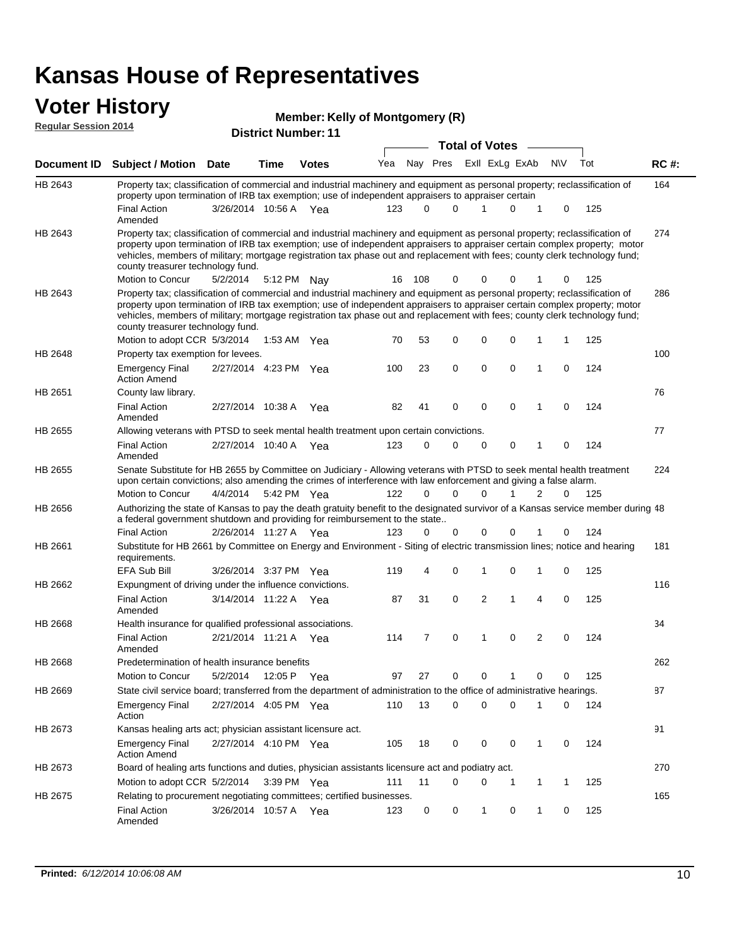### **Voter History Regular Session 2014**

|  | Member: Kelly of Montgomery (R) |  |
|--|---------------------------------|--|
|  |                                 |  |

|             |                                                                                                                                                                                                                                                                                                                                                                                                                                                               |                       |             | <b>District Number: 11</b> |     |          |          |                         |             |                |             |     |             |
|-------------|---------------------------------------------------------------------------------------------------------------------------------------------------------------------------------------------------------------------------------------------------------------------------------------------------------------------------------------------------------------------------------------------------------------------------------------------------------------|-----------------------|-------------|----------------------------|-----|----------|----------|-------------------------|-------------|----------------|-------------|-----|-------------|
|             |                                                                                                                                                                                                                                                                                                                                                                                                                                                               |                       |             |                            |     |          |          | <b>Total of Votes</b>   |             |                |             |     |             |
| Document ID | <b>Subject / Motion Date</b>                                                                                                                                                                                                                                                                                                                                                                                                                                  |                       | <b>Time</b> | <b>Votes</b>               | Yea |          |          | Nay Pres ExII ExLg ExAb |             |                | <b>NV</b>   | Tot | <b>RC#:</b> |
| HB 2643     | Property tax; classification of commercial and industrial machinery and equipment as personal property; reclassification of<br>property upon termination of IRB tax exemption; use of independent appraisers to appraiser certain                                                                                                                                                                                                                             |                       |             |                            |     |          |          |                         |             |                |             |     | 164         |
|             | <b>Final Action</b><br>Amended                                                                                                                                                                                                                                                                                                                                                                                                                                | 3/26/2014 10:56 A Yea |             |                            | 123 | $\Omega$ | $\Omega$ |                         | $\Omega$    | 1              | 0           | 125 |             |
| HB 2643     | Property tax; classification of commercial and industrial machinery and equipment as personal property; reclassification of<br>property upon termination of IRB tax exemption; use of independent appraisers to appraiser certain complex property; motor<br>vehicles, members of military; mortgage registration tax phase out and replacement with fees; county clerk technology fund;<br>county treasurer technology fund.                                 |                       |             |                            |     |          |          |                         |             |                |             |     | 274         |
|             | Motion to Concur                                                                                                                                                                                                                                                                                                                                                                                                                                              | 5/2/2014              | 5:12 PM     | Nav                        | 16  | 108      | $\Omega$ | 0                       | 0           | 1              | 0           | 125 |             |
| HB 2643     | Property tax; classification of commercial and industrial machinery and equipment as personal property; reclassification of<br>property upon termination of IRB tax exemption; use of independent appraisers to appraiser certain complex property; motor<br>vehicles, members of military; mortgage registration tax phase out and replacement with fees; county clerk technology fund;<br>county treasurer technology fund.<br>Motion to adopt CCR 5/3/2014 |                       |             |                            | 70  | 53       | 0        | $\mathbf 0$             | $\Omega$    | 1              | 1           | 125 | 286         |
|             |                                                                                                                                                                                                                                                                                                                                                                                                                                                               |                       |             | 1:53 AM Yea                |     |          |          |                         |             |                |             |     |             |
| HB 2648     | Property tax exemption for levees.<br><b>Emergency Final</b><br><b>Action Amend</b>                                                                                                                                                                                                                                                                                                                                                                           | 2/27/2014 4:23 PM Yea |             |                            | 100 | 23       | 0        | 0                       | $\mathbf 0$ | 1              | 0           | 124 | 100         |
| HB 2651     | County law library.                                                                                                                                                                                                                                                                                                                                                                                                                                           |                       |             |                            |     |          |          |                         |             |                |             |     | 76          |
|             | <b>Final Action</b><br>Amended                                                                                                                                                                                                                                                                                                                                                                                                                                | 2/27/2014 10:38 A     |             | Yea                        | 82  | 41       | 0        | $\mathbf 0$             | $\mathbf 0$ | 1              | $\mathbf 0$ | 124 |             |
| HB 2655     | Allowing veterans with PTSD to seek mental health treatment upon certain convictions.                                                                                                                                                                                                                                                                                                                                                                         |                       |             |                            |     |          |          |                         |             |                |             |     | 77          |
|             | <b>Final Action</b><br>Amended                                                                                                                                                                                                                                                                                                                                                                                                                                | 2/27/2014 10:40 A     |             | Yea                        | 123 | 0        | 0        | 0                       | 0           | 1              | 0           | 124 |             |
| HB 2655     | Senate Substitute for HB 2655 by Committee on Judiciary - Allowing veterans with PTSD to seek mental health treatment<br>upon certain convictions; also amending the crimes of interference with law enforcement and giving a false alarm.                                                                                                                                                                                                                    |                       |             |                            |     |          |          |                         |             |                |             |     | 224         |
|             | Motion to Concur                                                                                                                                                                                                                                                                                                                                                                                                                                              | 4/4/2014              |             | 5:42 PM Yea                | 122 | 0        | 0        | 0                       | 1           | $\overline{2}$ | 0           | 125 |             |
| HB 2656     | Authorizing the state of Kansas to pay the death gratuity benefit to the designated survivor of a Kansas service member during 48<br>a federal government shutdown and providing for reimbursement to the state                                                                                                                                                                                                                                               |                       |             |                            |     |          |          |                         |             |                |             |     |             |
|             | <b>Final Action</b>                                                                                                                                                                                                                                                                                                                                                                                                                                           | 2/26/2014 11:27 A     |             | Yea                        | 123 | 0        | 0        | 0                       | $\Omega$    | 1              | 0           | 124 |             |
| HB 2661     | Substitute for HB 2661 by Committee on Energy and Environment - Siting of electric transmission lines; notice and hearing<br>requirements.                                                                                                                                                                                                                                                                                                                    |                       |             |                            |     |          |          |                         |             |                |             |     | 181         |
|             | EFA Sub Bill                                                                                                                                                                                                                                                                                                                                                                                                                                                  | 3/26/2014 3:37 PM Yea |             |                            | 119 | 4        | 0        | 1                       | $\Omega$    | 1              | 0           | 125 |             |
| HB 2662     | Expungment of driving under the influence convictions.                                                                                                                                                                                                                                                                                                                                                                                                        |                       |             |                            |     |          |          |                         |             |                |             |     | 116         |
|             | <b>Final Action</b><br>Amended                                                                                                                                                                                                                                                                                                                                                                                                                                | 3/14/2014 11:22 A     |             | Yea                        | 87  | 31       | 0        | 2                       | 1           | 4              | 0           | 125 |             |
| HB 2668     | Health insurance for qualified professional associations.                                                                                                                                                                                                                                                                                                                                                                                                     |                       |             |                            |     |          |          |                         |             |                |             |     | 34          |
|             | <b>Final Action</b><br>Amended                                                                                                                                                                                                                                                                                                                                                                                                                                | 2/21/2014 11:21 A Yea |             |                            | 114 | 7        | 0        | 1                       | $\Omega$    | 2              | 0           | 124 |             |
| HB 2668     | Predetermination of health insurance benefits                                                                                                                                                                                                                                                                                                                                                                                                                 |                       |             |                            |     |          |          |                         |             |                |             |     | 262         |
|             | Motion to Concur                                                                                                                                                                                                                                                                                                                                                                                                                                              | 5/2/2014              |             | 12:05 P Yea                | 97  | 27       | 0        | 0                       |             | 0              | 0           | 125 |             |
| HB 2669     | State civil service board; transferred from the department of administration to the office of administrative hearings.                                                                                                                                                                                                                                                                                                                                        |                       |             |                            |     |          |          |                         |             |                |             |     | 87          |
|             | <b>Emergency Final</b><br>Action                                                                                                                                                                                                                                                                                                                                                                                                                              | 2/27/2014 4:05 PM Yea |             |                            | 110 | 13       | 0        | 0                       | $\Omega$    |                | 0           | 124 |             |
| HB 2673     | Kansas healing arts act; physician assistant licensure act.                                                                                                                                                                                                                                                                                                                                                                                                   |                       |             |                            |     |          |          |                         |             |                |             |     | 91          |
|             | <b>Emergency Final</b><br><b>Action Amend</b>                                                                                                                                                                                                                                                                                                                                                                                                                 | 2/27/2014 4:10 PM Yea |             |                            | 105 | 18       | 0        | 0                       | 0           | 1              | 0           | 124 |             |
| HB 2673     | Board of healing arts functions and duties, physician assistants licensure act and podiatry act.                                                                                                                                                                                                                                                                                                                                                              |                       |             |                            |     |          |          |                         |             |                |             |     | 270         |
|             | Motion to adopt CCR 5/2/2014 3:39 PM Yea                                                                                                                                                                                                                                                                                                                                                                                                                      |                       |             |                            | 111 | 11       | 0        | 0                       | -1          | 1              | 1           | 125 |             |
| HB 2675     | Relating to procurement negotiating committees; certified businesses.                                                                                                                                                                                                                                                                                                                                                                                         |                       |             |                            |     |          |          |                         |             |                |             |     | 165         |
|             | <b>Final Action</b><br>Amended                                                                                                                                                                                                                                                                                                                                                                                                                                | 3/26/2014 10:57 A Yea |             |                            | 123 | 0        | 0        | 1                       | 0           | 1              | 0           | 125 |             |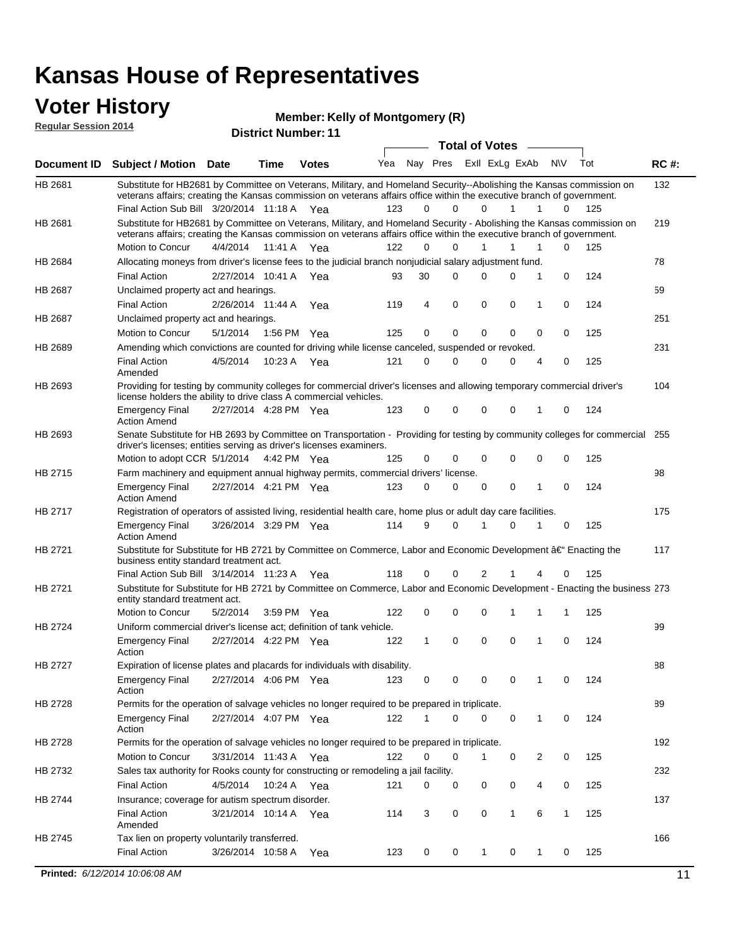### **Voter History Regular Session 2014**

**Member: Kelly of Montgomery (R)** 

| nuyurur Uuddiun Luin |                                                                                                                                                                                                                                                                                               |                       |         | <b>District Number: 11</b> |     |             |             |                       |              |     |             |     |             |
|----------------------|-----------------------------------------------------------------------------------------------------------------------------------------------------------------------------------------------------------------------------------------------------------------------------------------------|-----------------------|---------|----------------------------|-----|-------------|-------------|-----------------------|--------------|-----|-------------|-----|-------------|
|                      |                                                                                                                                                                                                                                                                                               |                       |         |                            |     |             |             | <b>Total of Votes</b> |              |     |             |     |             |
| <b>Document ID</b>   | <b>Subject / Motion Date</b>                                                                                                                                                                                                                                                                  |                       | Time    | <b>Votes</b>               | Yea |             | Nay Pres    | ExII ExLg ExAb        |              | N\V |             | Tot | <b>RC#:</b> |
| HB 2681              | Substitute for HB2681 by Committee on Veterans, Military, and Homeland Security--Abolishing the Kansas commission on<br>veterans affairs; creating the Kansas commission on veterans affairs office within the executive branch of government.<br>Final Action Sub Bill 3/20/2014 11:18 A Yea |                       |         |                            | 123 | 0           | $\Omega$    | $\Omega$              | 1            | 1   | 0           | 125 | 132         |
| HB 2681              | Substitute for HB2681 by Committee on Veterans, Military, and Homeland Security - Abolishing the Kansas commission on                                                                                                                                                                         |                       |         |                            |     |             |             |                       |              |     |             |     | 219         |
|                      | veterans affairs; creating the Kansas commission on veterans affairs office within the executive branch of government.                                                                                                                                                                        |                       |         |                            |     |             |             |                       |              |     |             |     |             |
|                      | Motion to Concur                                                                                                                                                                                                                                                                              | 4/4/2014              | 11:41 A | Yea                        | 122 | $\Omega$    | 0           | $\mathbf{1}$          | 1            | 1   | 0           | 125 |             |
| HB 2684              | Allocating moneys from driver's license fees to the judicial branch nonjudicial salary adjustment fund.                                                                                                                                                                                       |                       |         |                            |     |             |             |                       |              |     |             |     | 78          |
|                      | <b>Final Action</b>                                                                                                                                                                                                                                                                           | 2/27/2014 10:41 A     |         | Yea                        | 93  | 30          | $\Omega$    | $\Omega$              | 0            | 1   | 0           | 124 |             |
| HB 2687              | Unclaimed property act and hearings.                                                                                                                                                                                                                                                          |                       |         |                            |     |             |             |                       |              |     |             |     | 59          |
|                      | <b>Final Action</b>                                                                                                                                                                                                                                                                           | 2/26/2014 11:44 A     |         | Yea                        | 119 | 4           | $\mathbf 0$ | 0                     | 0            | 1   | 0           | 124 |             |
| HB 2687              | Unclaimed property act and hearings.                                                                                                                                                                                                                                                          |                       |         |                            |     |             |             |                       |              |     |             |     | 251         |
|                      | Motion to Concur                                                                                                                                                                                                                                                                              | 5/1/2014              | 1:56 PM | Yea                        | 125 | 0           | $\mathbf 0$ | 0                     | 0            | 0   | 0           | 125 |             |
| HB 2689              | Amending which convictions are counted for driving while license canceled, suspended or revoked.                                                                                                                                                                                              |                       |         |                            |     |             |             |                       |              |     |             |     | 231         |
|                      | <b>Final Action</b><br>Amended                                                                                                                                                                                                                                                                | 4/5/2014              | 10:23 A | Yea                        | 121 | $\mathbf 0$ | $\Omega$    | $\Omega$              | 0            | 4   | 0           | 125 |             |
| HB 2693              | Providing for testing by community colleges for commercial driver's licenses and allowing temporary commercial driver's<br>license holders the ability to drive class A commercial vehicles.                                                                                                  |                       |         |                            |     |             |             |                       |              |     |             |     | 104         |
|                      | <b>Emergency Final</b><br><b>Action Amend</b>                                                                                                                                                                                                                                                 | 2/27/2014 4:28 PM Yea |         |                            | 123 | 0           | 0           | $\Omega$              | 0            | 1   | $\mathbf 0$ | 124 |             |
| HB 2693              | Senate Substitute for HB 2693 by Committee on Transportation - Providing for testing by community colleges for commercial<br>driver's licenses; entities serving as driver's licenses examiners.                                                                                              |                       |         |                            |     |             |             |                       |              |     |             |     | 255         |
|                      | Motion to adopt CCR 5/1/2014 4:42 PM Yea                                                                                                                                                                                                                                                      |                       |         |                            | 125 | 0           | 0           | $\Omega$              | 0            | 0   | 0           | 125 |             |
| HB 2715              | Farm machinery and equipment annual highway permits, commercial drivers' license.                                                                                                                                                                                                             |                       |         |                            |     |             |             |                       |              |     |             |     | 98          |
|                      | <b>Emergency Final</b><br><b>Action Amend</b>                                                                                                                                                                                                                                                 | 2/27/2014 4:21 PM Yea |         |                            | 123 | 0           | 0           | 0                     | 0            | 1   | 0           | 124 |             |
| HB 2717              | Registration of operators of assisted living, residential health care, home plus or adult day care facilities.                                                                                                                                                                                |                       |         |                            |     |             |             |                       |              |     |             |     | 175         |
|                      | <b>Emergency Final</b><br><b>Action Amend</b>                                                                                                                                                                                                                                                 | 3/26/2014 3:29 PM Yea |         |                            | 114 | 9           | 0           |                       | $\Omega$     |     | 0           | 125 |             |
| HB 2721              | Substitute for Substitute for HB 2721 by Committee on Commerce, Labor and Economic Development †Enacting the<br>business entity standard treatment act.                                                                                                                                       |                       |         |                            |     |             |             |                       |              |     |             |     | 117         |
|                      | Final Action Sub Bill 3/14/2014 11:23 A Yea                                                                                                                                                                                                                                                   |                       |         |                            | 118 | 0           | 0           | 2                     |              | 4   | 0           | 125 |             |
| HB 2721              | Substitute for Substitute for HB 2721 by Committee on Commerce, Labor and Economic Development - Enacting the business 273<br>entity standard treatment act.                                                                                                                                  |                       |         |                            |     |             |             |                       |              |     |             |     |             |
|                      | Motion to Concur                                                                                                                                                                                                                                                                              | 5/2/2014              |         | 3:59 PM Yea                | 122 | 0           | 0           | $\Omega$              |              | 1   | 1           | 125 |             |
| HB 2724              | Uniform commercial driver's license act; definition of tank vehicle.                                                                                                                                                                                                                          |                       |         |                            |     |             |             |                       |              |     |             |     | 99          |
|                      | <b>Emergency Final</b>                                                                                                                                                                                                                                                                        | 2/27/2014 4:22 PM Yea |         |                            | 122 | 1           | 0           | 0                     | 0            | 1   | 0           | 124 |             |
| HB 2727              | Action<br>Expiration of license plates and placards for individuals with disability.                                                                                                                                                                                                          |                       |         |                            |     |             |             |                       |              |     |             |     | 88          |
|                      | <b>Emergency Final</b><br>Action                                                                                                                                                                                                                                                              | 2/27/2014 4:06 PM Yea |         |                            | 123 | 0           | 0           | 0                     | 0            |     | 0           | 124 |             |
| HB 2728              | Permits for the operation of salvage vehicles no longer required to be prepared in triplicate.                                                                                                                                                                                                |                       |         |                            |     |             |             |                       |              |     |             |     | 89          |
|                      | <b>Emergency Final</b><br>Action                                                                                                                                                                                                                                                              | 2/27/2014 4:07 PM Yea |         |                            | 122 | 1           | 0           | $\Omega$              | 0            | 1   | 0           | 124 |             |
| HB 2728              | Permits for the operation of salvage vehicles no longer required to be prepared in triplicate.                                                                                                                                                                                                |                       |         |                            |     |             |             |                       |              |     |             |     | 192         |
|                      | Motion to Concur                                                                                                                                                                                                                                                                              | 3/31/2014 11:43 A Yea |         |                            | 122 | 0           | 0           | 1                     | 0            | 2   | 0           | 125 |             |
| HB 2732              | Sales tax authority for Rooks county for constructing or remodeling a jail facility.                                                                                                                                                                                                          |                       |         |                            |     |             |             |                       |              |     |             |     | 232         |
|                      | <b>Final Action</b>                                                                                                                                                                                                                                                                           | 4/5/2014              |         | 10:24 A Yea                | 121 | 0           | 0           | 0                     | 0            | 4   | 0           | 125 |             |
| HB 2744              | Insurance; coverage for autism spectrum disorder.                                                                                                                                                                                                                                             |                       |         |                            |     |             |             |                       |              |     |             |     | 137         |
|                      | <b>Final Action</b><br>Amended                                                                                                                                                                                                                                                                | 3/21/2014 10:14 A Yea |         |                            | 114 | 3           | 0           | 0                     | $\mathbf{1}$ | 6   | 1           | 125 |             |
|                      |                                                                                                                                                                                                                                                                                               |                       |         |                            |     |             |             |                       |              |     |             |     |             |
| HB 2745              | Tax lien on property voluntarily transferred.                                                                                                                                                                                                                                                 |                       |         |                            |     |             |             |                       |              |     |             |     | 166         |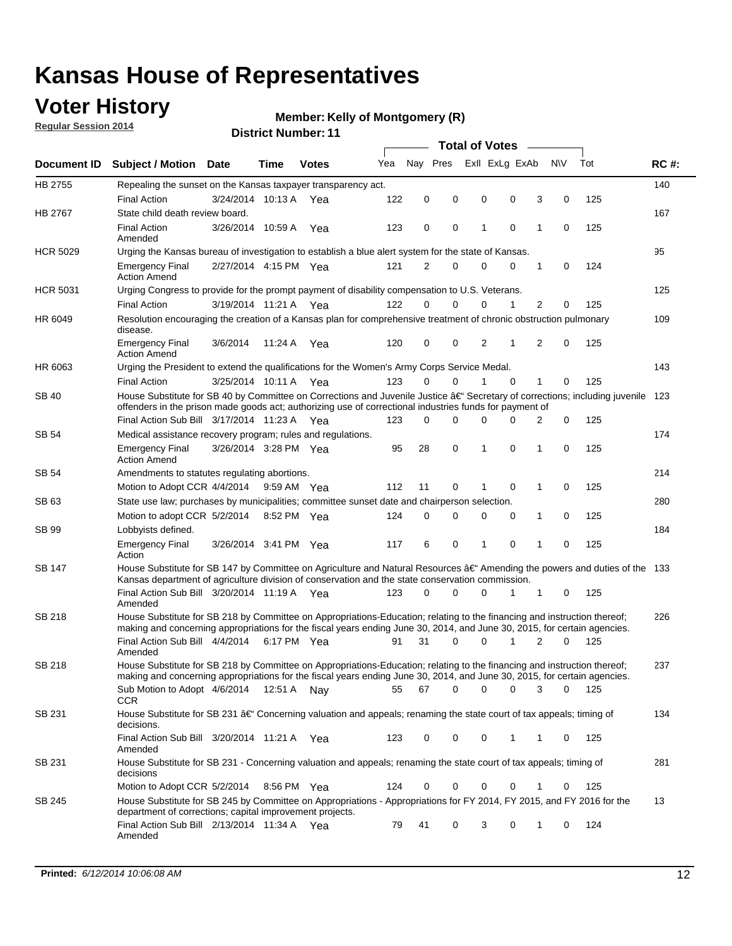## **Voter History**

**Regular Session 2014**

#### **Member: Kelly of Montgomery (R)**

|                 |                                                                                                                                                                                                                                                      |                       |             |              |     |             |          | <b>Total of Votes</b> |                |          |   |             |       |             |
|-----------------|------------------------------------------------------------------------------------------------------------------------------------------------------------------------------------------------------------------------------------------------------|-----------------------|-------------|--------------|-----|-------------|----------|-----------------------|----------------|----------|---|-------------|-------|-------------|
|                 | Document ID Subject / Motion Date                                                                                                                                                                                                                    |                       | Time        | <b>Votes</b> | Yea | Nav Pres    |          |                       | Exll ExLg ExAb |          |   | <b>NV</b>   | Tot   | <b>RC#:</b> |
| HB 2755         | Repealing the sunset on the Kansas taxpayer transparency act.                                                                                                                                                                                        |                       |             |              |     |             |          |                       |                |          |   |             |       | 140         |
|                 | <b>Final Action</b>                                                                                                                                                                                                                                  | 3/24/2014 10:13 A     |             | Yea          | 122 | 0           | 0        | 0                     |                | 0        | 3 | 0           | 125   |             |
| <b>HB 2767</b>  | State child death review board.                                                                                                                                                                                                                      |                       |             |              |     |             |          |                       |                |          |   |             |       | 167         |
|                 | <b>Final Action</b><br>Amended                                                                                                                                                                                                                       | 3/26/2014 10:59 A     |             | Yea          | 123 | 0           | 0        | 1                     |                | 0        | 1 | 0           | 125   |             |
| <b>HCR 5029</b> | Urging the Kansas bureau of investigation to establish a blue alert system for the state of Kansas.                                                                                                                                                  |                       |             |              |     |             |          |                       |                |          |   |             |       | 95          |
|                 | <b>Emergency Final</b><br><b>Action Amend</b>                                                                                                                                                                                                        | 2/27/2014 4:15 PM Yea |             |              | 121 | 2           | 0        | 0                     |                | 0        | 1 | 0           | 124   |             |
| <b>HCR 5031</b> | Urging Congress to provide for the prompt payment of disability compensation to U.S. Veterans.                                                                                                                                                       |                       |             |              |     |             |          |                       |                |          |   |             |       | 125         |
|                 | <b>Final Action</b>                                                                                                                                                                                                                                  | 3/19/2014 11:21 A Yea |             |              | 122 | $\Omega$    | $\Omega$ | 0                     |                | 1        | 2 | 0           | 125   |             |
| HR 6049         | Resolution encouraging the creation of a Kansas plan for comprehensive treatment of chronic obstruction pulmonary<br>disease.                                                                                                                        |                       |             |              |     |             |          |                       |                |          |   |             |       | 109         |
|                 | <b>Emergency Final</b><br><b>Action Amend</b>                                                                                                                                                                                                        | 3/6/2014              | 11:24 A     | Yea          | 120 | 0           | 0        | 2                     |                | 1        | 2 | $\mathbf 0$ | 125   |             |
| HR 6063         | Urging the President to extend the qualifications for the Women's Army Corps Service Medal.                                                                                                                                                          |                       |             |              |     |             |          |                       |                |          |   |             |       | 143         |
|                 | <b>Final Action</b>                                                                                                                                                                                                                                  | 3/25/2014 10:11 A Yea |             |              | 123 | $\Omega$    | 0        | 1                     |                | $\Omega$ | 1 | 0           | 125   |             |
| SB 40           | House Substitute for SB 40 by Committee on Corrections and Juvenile Justice †Secretary of corrections; including juvenile<br>offenders in the prison made goods act; authorizing use of correctional industries funds for payment of                 |                       |             |              |     |             |          |                       |                |          |   |             |       | 123         |
|                 | Final Action Sub Bill 3/17/2014 11:23 A Yea                                                                                                                                                                                                          |                       |             |              | 123 | 0           | 0        | 0                     |                | 0        | 2 | 0           | 125   |             |
| SB 54           | Medical assistance recovery program; rules and regulations.                                                                                                                                                                                          |                       |             |              |     |             |          |                       |                |          |   |             |       | 174         |
|                 | <b>Emergency Final</b><br><b>Action Amend</b>                                                                                                                                                                                                        | 3/26/2014 3:28 PM Yea |             |              | 95  | 28          | 0        | 1                     |                | 0        | 1 | 0           | 125   |             |
| SB 54           | Amendments to statutes regulating abortions.                                                                                                                                                                                                         |                       |             |              |     |             |          |                       |                |          |   |             |       | 214         |
|                 | Motion to Adopt CCR 4/4/2014 9:59 AM Yea                                                                                                                                                                                                             |                       |             |              | 112 | 11          | 0        |                       |                | 0        | 1 | 0           | 125   |             |
| SB 63           | State use law; purchases by municipalities; committee sunset date and chairperson selection.                                                                                                                                                         |                       |             |              |     |             |          |                       |                |          |   |             |       | 280         |
|                 | Motion to adopt CCR 5/2/2014                                                                                                                                                                                                                         |                       | 8:52 PM Yea |              | 124 | $\mathbf 0$ | 0        | 0                     |                | 0        | 1 | 0           | 125   |             |
| SB 99           | Lobbyists defined.                                                                                                                                                                                                                                   |                       |             |              |     |             |          |                       |                |          |   |             |       | 184         |
|                 | <b>Emergency Final</b><br>Action                                                                                                                                                                                                                     | 3/26/2014 3:41 PM Yea |             |              | 117 | 6           | 0        | 1                     |                | 0        | 1 | $\mathbf 0$ | 125   |             |
| SB 147          | House Substitute for SB 147 by Committee on Agriculture and Natural Resources †Amending the powers and duties of the 133<br>Kansas department of agriculture division of conservation and the state conservation commission.                         |                       |             |              |     |             |          |                       |                |          |   |             |       |             |
|                 | Final Action Sub Bill 3/20/2014 11:19 A Yea<br>Amended                                                                                                                                                                                               |                       |             |              | 123 | 0           | 0        | 0                     |                | 1        | 1 | 0           | 125   |             |
| SB 218          | House Substitute for SB 218 by Committee on Appropriations-Education; relating to the financing and instruction thereof;<br>making and concerning appropriations for the fiscal years ending June 30, 2014, and June 30, 2015, for certain agencies. |                       |             |              |     |             |          |                       |                |          |   |             |       | 226         |
|                 | Final Action Sub Bill 4/4/2014 6:17 PM Yea                                                                                                                                                                                                           |                       |             |              | 91  | 31          | $\Omega$ | 0                     |                | 1        | 2 | $\Omega$    | 125   |             |
|                 | Amended                                                                                                                                                                                                                                              |                       |             |              |     |             |          |                       |                |          |   |             |       |             |
| SB 218          | House Substitute for SB 218 by Committee on Appropriations-Education; relating to the financing and instruction thereof;                                                                                                                             |                       |             |              |     |             |          |                       |                |          |   |             |       | 237         |
|                 | making and concerning appropriations for the fiscal years ending June 30, 2014, and June 30, 2015, for certain agencies.                                                                                                                             |                       |             |              |     |             |          |                       |                |          |   |             |       |             |
|                 | Sub Motion to Adopt 4/6/2014 12:51 A Nay                                                                                                                                                                                                             |                       |             |              | 55  | 67          | 0        | 0                     |                | 0        | 3 | 0           | - 125 |             |
| SB 231          | CCR<br>House Substitute for SB 231 †Concerning valuation and appeals; renaming the state court of tax appeals; timing of<br>decisions.                                                                                                               |                       |             |              |     |             |          |                       |                |          |   |             |       | 134         |
|                 | Final Action Sub Bill 3/20/2014 11:21 A Yea<br>Amended                                                                                                                                                                                               |                       |             |              | 123 | 0           | 0        | 0                     |                | 1        | 1 | 0           | 125   |             |
| SB 231          | House Substitute for SB 231 - Concerning valuation and appeals; renaming the state court of tax appeals; timing of<br>decisions                                                                                                                      |                       |             |              |     |             |          |                       |                |          |   |             |       | 281         |
|                 | Motion to Adopt CCR 5/2/2014 8:56 PM Yea                                                                                                                                                                                                             |                       |             |              | 124 | 0           | 0        | 0                     |                | 0        | 1 | 0           | 125   |             |
| SB 245          | House Substitute for SB 245 by Committee on Appropriations - Appropriations for FY 2014, FY 2015, and FY 2016 for the<br>department of corrections; capital improvement projects.                                                                    |                       |             |              |     |             |          |                       |                |          |   |             |       | 13          |
|                 | Final Action Sub Bill 2/13/2014 11:34 A Yea<br>Amended                                                                                                                                                                                               |                       |             |              | 79  | 41          | 0        | 3                     |                | 0        | 1 | 0           | 124   |             |
|                 |                                                                                                                                                                                                                                                      |                       |             |              |     |             |          |                       |                |          |   |             |       |             |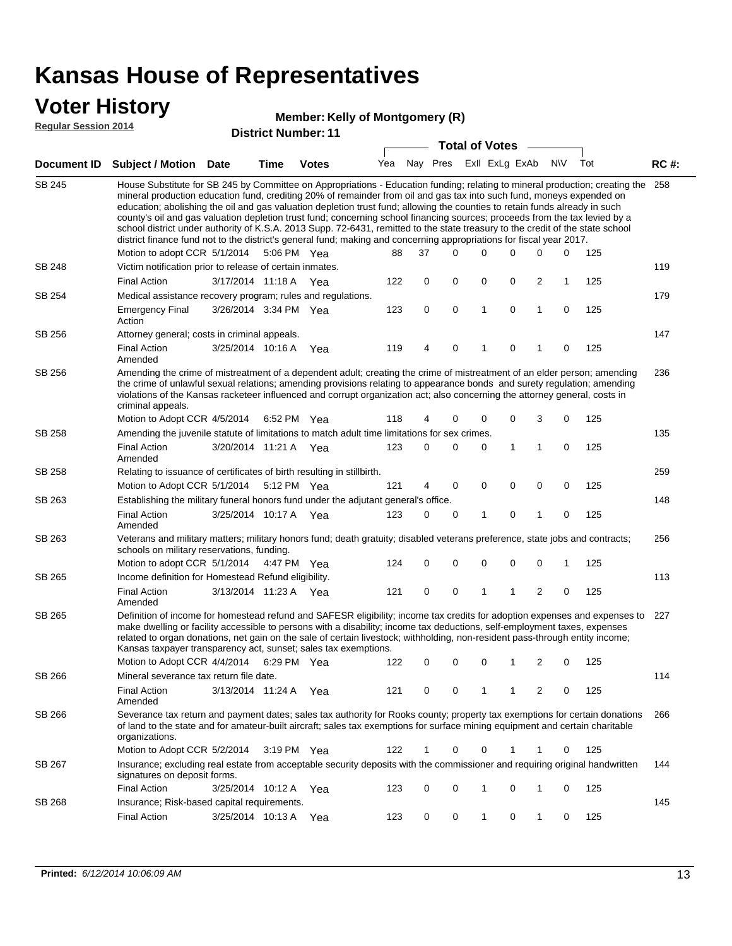### **Voter History**

#### **Kelly of Montgomery (R)**

|                    |                                                                                                                                                                                                                                                                                                                                                                                                                                                                                                                                                                                                                                                                                                                                                                                                                               |                       |              |     |          | <b>Total of Votes</b> |                |                |                |              |     |             |
|--------------------|-------------------------------------------------------------------------------------------------------------------------------------------------------------------------------------------------------------------------------------------------------------------------------------------------------------------------------------------------------------------------------------------------------------------------------------------------------------------------------------------------------------------------------------------------------------------------------------------------------------------------------------------------------------------------------------------------------------------------------------------------------------------------------------------------------------------------------|-----------------------|--------------|-----|----------|-----------------------|----------------|----------------|----------------|--------------|-----|-------------|
| <b>Document ID</b> | Subject / Motion Date                                                                                                                                                                                                                                                                                                                                                                                                                                                                                                                                                                                                                                                                                                                                                                                                         | Time                  | <b>Votes</b> | Yea | Nay Pres |                       | Exll ExLg ExAb |                |                | <b>NV</b>    | Tot | <b>RC#:</b> |
| SB 245             | House Substitute for SB 245 by Committee on Appropriations - Education funding; relating to mineral production; creating the 258<br>mineral production education fund, crediting 20% of remainder from oil and gas tax into such fund, moneys expended on<br>education; abolishing the oil and gas valuation depletion trust fund; allowing the counties to retain funds already in such<br>county's oil and gas valuation depletion trust fund; concerning school financing sources; proceeds from the tax levied by a<br>school district under authority of K.S.A. 2013 Supp. 72-6431, remitted to the state treasury to the credit of the state school<br>district finance fund not to the district's general fund; making and concerning appropriations for fiscal year 2017.<br>Motion to adopt CCR 5/1/2014 5:06 PM Yea |                       |              | 88  | 37       | 0                     | $\Omega$       | $\Omega$       | $\Omega$       | 0            | 125 |             |
| <b>SB 248</b>      | Victim notification prior to release of certain inmates.                                                                                                                                                                                                                                                                                                                                                                                                                                                                                                                                                                                                                                                                                                                                                                      |                       |              |     |          |                       |                |                |                |              |     | 119         |
|                    | <b>Final Action</b>                                                                                                                                                                                                                                                                                                                                                                                                                                                                                                                                                                                                                                                                                                                                                                                                           | 3/17/2014 11:18 A Yea |              | 122 | 0        | $\mathbf 0$           | 0              | 0              | $\overline{2}$ | $\mathbf{1}$ | 125 |             |
| SB 254             | Medical assistance recovery program; rules and regulations.                                                                                                                                                                                                                                                                                                                                                                                                                                                                                                                                                                                                                                                                                                                                                                   |                       |              |     |          |                       |                |                |                |              |     | 179         |
|                    | <b>Emergency Final</b><br>Action                                                                                                                                                                                                                                                                                                                                                                                                                                                                                                                                                                                                                                                                                                                                                                                              | 3/26/2014 3:34 PM Yea |              | 123 | 0        | $\mathbf 0$           | $\mathbf{1}$   | $\mathbf 0$    | $\mathbf{1}$   | $\mathbf 0$  | 125 |             |
| SB 256             | Attorney general; costs in criminal appeals.                                                                                                                                                                                                                                                                                                                                                                                                                                                                                                                                                                                                                                                                                                                                                                                  |                       |              |     |          |                       |                |                |                |              |     | 147         |
|                    | <b>Final Action</b><br>Amended                                                                                                                                                                                                                                                                                                                                                                                                                                                                                                                                                                                                                                                                                                                                                                                                | 3/25/2014 10:16 A     | Yea          | 119 | 4        | $\mathbf 0$           | 1              | $\overline{0}$ | 1              | 0            | 125 |             |
| SB 256             | Amending the crime of mistreatment of a dependent adult; creating the crime of mistreatment of an elder person; amending<br>the crime of unlawful sexual relations; amending provisions relating to appearance bonds and surety regulation; amending<br>violations of the Kansas racketeer influenced and corrupt organization act; also concerning the attorney general, costs in<br>criminal appeals.                                                                                                                                                                                                                                                                                                                                                                                                                       |                       |              |     |          |                       |                |                |                |              |     | 236         |
|                    | Motion to Adopt CCR 4/5/2014                                                                                                                                                                                                                                                                                                                                                                                                                                                                                                                                                                                                                                                                                                                                                                                                  | 6:52 PM Yea           |              | 118 | 4        | 0                     | $\mathbf 0$    | 0              | 3              | 0            | 125 |             |
| <b>SB 258</b>      | Amending the juvenile statute of limitations to match adult time limitations for sex crimes.                                                                                                                                                                                                                                                                                                                                                                                                                                                                                                                                                                                                                                                                                                                                  |                       |              |     |          |                       |                |                |                |              |     | 135         |
|                    | <b>Final Action</b><br>Amended                                                                                                                                                                                                                                                                                                                                                                                                                                                                                                                                                                                                                                                                                                                                                                                                | 3/20/2014 11:21 A Yea |              | 123 | $\Omega$ | 0                     | 0              | $\mathbf{1}$   | $\mathbf{1}$   | $\mathbf 0$  | 125 |             |
| SB 258             | Relating to issuance of certificates of birth resulting in stillbirth.                                                                                                                                                                                                                                                                                                                                                                                                                                                                                                                                                                                                                                                                                                                                                        |                       |              |     |          |                       |                |                |                |              |     | 259         |
|                    | Motion to Adopt CCR 5/1/2014                                                                                                                                                                                                                                                                                                                                                                                                                                                                                                                                                                                                                                                                                                                                                                                                  | 5:12 PM Yea           |              | 121 | 4        | 0                     | $\mathbf 0$    | $\mathbf 0$    | $\mathbf 0$    | $\mathbf 0$  | 125 |             |
| SB 263             | Establishing the military funeral honors fund under the adjutant general's office.                                                                                                                                                                                                                                                                                                                                                                                                                                                                                                                                                                                                                                                                                                                                            |                       |              |     |          |                       |                |                |                |              |     | 148         |
|                    | <b>Final Action</b><br>Amended                                                                                                                                                                                                                                                                                                                                                                                                                                                                                                                                                                                                                                                                                                                                                                                                | 3/25/2014 10:17 A Yea |              | 123 | 0        | 0                     | 1              | 0              | 1              | 0            | 125 |             |
| SB 263             | Veterans and military matters; military honors fund; death gratuity; disabled veterans preference, state jobs and contracts;<br>schools on military reservations, funding.                                                                                                                                                                                                                                                                                                                                                                                                                                                                                                                                                                                                                                                    |                       |              |     |          |                       |                |                |                |              |     | 256         |
|                    | Motion to adopt CCR 5/1/2014                                                                                                                                                                                                                                                                                                                                                                                                                                                                                                                                                                                                                                                                                                                                                                                                  | 4:47 PM Yea           |              | 124 | 0        | 0                     | 0              | 0              | 0              | 1            | 125 |             |
| SB 265             | Income definition for Homestead Refund eligibility.                                                                                                                                                                                                                                                                                                                                                                                                                                                                                                                                                                                                                                                                                                                                                                           |                       |              |     |          |                       |                |                |                |              |     | 113         |
|                    | <b>Final Action</b><br>Amended                                                                                                                                                                                                                                                                                                                                                                                                                                                                                                                                                                                                                                                                                                                                                                                                | 3/13/2014 11:23 A Yea |              | 121 | 0        | $\mathbf 0$           | 1              | 1              | 2              | 0            | 125 |             |
| SB 265             | Definition of income for homestead refund and SAFESR eligibility; income tax credits for adoption expenses and expenses to<br>make dwelling or facility accessible to persons with a disability; income tax deductions, self-employment taxes, expenses<br>related to organ donations, net gain on the sale of certain livestock; withholding, non-resident pass-through entity income;<br>Kansas taxpayer transparency act, sunset; sales tax exemptions.                                                                                                                                                                                                                                                                                                                                                                    |                       |              |     |          |                       |                |                |                |              |     | 227         |

|        | Motion to Adopt CCR 4/4/2014                                                                                                                                                                                                                                                   |                   | 6:29 PM     | Yea | 122 | 0        |          |          |          | 2 | $\Omega$ | 125 |     |
|--------|--------------------------------------------------------------------------------------------------------------------------------------------------------------------------------------------------------------------------------------------------------------------------------|-------------------|-------------|-----|-----|----------|----------|----------|----------|---|----------|-----|-----|
| SB 266 | Mineral severance tax return file date.                                                                                                                                                                                                                                        |                   |             |     |     |          |          |          |          |   |          |     | 114 |
|        | Final Action<br>Amended                                                                                                                                                                                                                                                        | 3/13/2014 11:24 A |             | Yea | 121 | 0        |          |          |          | 2 | 0        | 125 |     |
| SB 266 | Severance tax return and payment dates; sales tax authority for Rooks county; property tax exemptions for certain donations<br>of land to the state and for amateur-built aircraft; sales tax exemptions for surface mining equipment and certain charitable<br>organizations. |                   |             |     |     |          |          |          |          |   |          |     | 266 |
|        | Motion to Adopt CCR 5/2/2014                                                                                                                                                                                                                                                   |                   | 3:19 PM Yea |     | 122 |          | $\Omega$ | $\Omega$ |          |   | $\Omega$ | 125 |     |
| SB 267 | Insurance; excluding real estate from acceptable security deposits with the commissioner and requiring original handwritten<br>signatures on deposit forms.                                                                                                                    |                   |             |     |     |          |          |          |          |   |          |     | 144 |
|        | <b>Final Action</b>                                                                                                                                                                                                                                                            | 3/25/2014 10:12 A |             | Yea | 123 | $\Omega$ | $\Omega$ |          | $\Omega$ |   | 0        | 125 |     |
| SB 268 | Insurance; Risk-based capital requirements.                                                                                                                                                                                                                                    |                   |             |     |     |          |          |          |          |   |          |     | 145 |
|        | <b>Final Action</b>                                                                                                                                                                                                                                                            | 3/25/2014         | 10:13 A     | Yea | 123 | $\Omega$ | $\Omega$ |          | 0        |   |          | 125 |     |
|        |                                                                                                                                                                                                                                                                                |                   |             |     |     |          |          |          |          |   |          |     |     |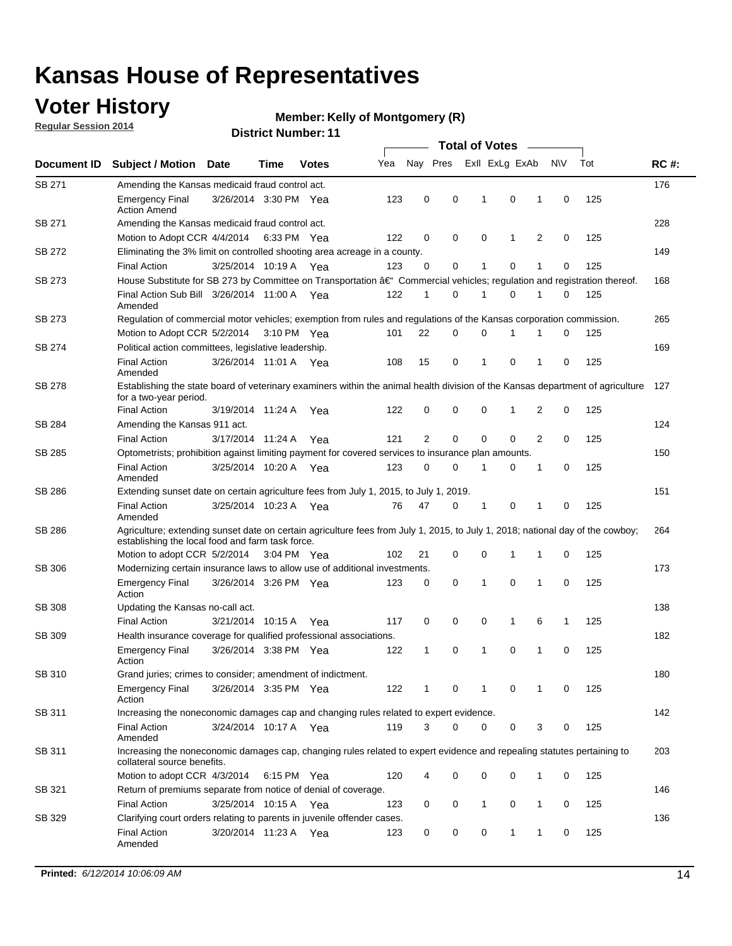## **Voter History**

**Regular Session 2014**

#### **Member: Kelly of Montgomery (R)**

|               |                                                                                                                                                                                    |                       |      |              |     |                |             | <b>Total of Votes</b> |              |   |             |     |             |
|---------------|------------------------------------------------------------------------------------------------------------------------------------------------------------------------------------|-----------------------|------|--------------|-----|----------------|-------------|-----------------------|--------------|---|-------------|-----|-------------|
| Document ID   | <b>Subject / Motion Date</b>                                                                                                                                                       |                       | Time | <b>Votes</b> | Yea | Nay Pres       |             | Exll ExLg ExAb        |              |   | N\V         | Tot | <b>RC#:</b> |
| SB 271        | Amending the Kansas medicaid fraud control act.                                                                                                                                    |                       |      |              |     |                |             |                       |              |   |             |     | 176         |
|               | <b>Emergency Final</b><br><b>Action Amend</b>                                                                                                                                      | 3/26/2014 3:30 PM Yea |      |              | 123 | 0              | 0           | 1                     | 0            | 1 | $\mathbf 0$ | 125 |             |
| SB 271        | Amending the Kansas medicaid fraud control act.                                                                                                                                    |                       |      |              |     |                |             |                       |              |   |             |     | 228         |
|               | Motion to Adopt CCR 4/4/2014 6:33 PM Yea                                                                                                                                           |                       |      |              | 122 | 0              | 0           | 0                     | 1            | 2 | 0           | 125 |             |
| SB 272        | Eliminating the 3% limit on controlled shooting area acreage in a county.                                                                                                          |                       |      |              |     |                |             |                       |              |   |             |     | 149         |
|               | <b>Final Action</b>                                                                                                                                                                | 3/25/2014 10:19 A Yea |      |              | 123 | 0              | 0           | 1                     | 0            | 1 | $\mathbf 0$ | 125 |             |
| SB 273        | House Substitute for SB 273 by Committee on Transportation †Commercial vehicles; regulation and registration thereof.                                                              |                       |      |              |     |                |             |                       |              |   |             |     | 168         |
|               | Final Action Sub Bill 3/26/2014 11:00 A Yea<br>Amended                                                                                                                             |                       |      |              | 122 | 1              | 0           | 1                     | 0            | 1 | 0           | 125 |             |
| SB 273        | Regulation of commercial motor vehicles; exemption from rules and regulations of the Kansas corporation commission.                                                                |                       |      |              |     |                |             |                       |              |   |             |     | 265         |
|               | Motion to Adopt CCR 5/2/2014 3:10 PM Yea                                                                                                                                           |                       |      |              | 101 | 22             | 0           | 0                     | 1            | 1 | 0           | 125 |             |
| SB 274        | Political action committees, legislative leadership.                                                                                                                               |                       |      |              |     |                |             |                       |              |   |             |     | 169         |
|               | <b>Final Action</b><br>Amended                                                                                                                                                     | 3/26/2014 11:01 A Yea |      |              | 108 | 15             | 0           | -1                    | 0            | 1 | 0           | 125 |             |
| <b>SB 278</b> | Establishing the state board of veterinary examiners within the animal health division of the Kansas department of agriculture<br>for a two-year period.                           |                       |      |              |     |                |             |                       |              |   |             |     | 127         |
|               | <b>Final Action</b>                                                                                                                                                                | 3/19/2014 11:24 A     |      | Yea          | 122 | 0              | 0           | 0                     | 1            | 2 | 0           | 125 |             |
| SB 284        | Amending the Kansas 911 act.                                                                                                                                                       |                       |      |              |     |                |             |                       |              |   |             |     | 124         |
|               | <b>Final Action</b>                                                                                                                                                                | 3/17/2014 11:24 A     |      | Yea          | 121 | $\overline{2}$ | $\mathbf 0$ | $\mathbf 0$           | $\mathbf 0$  | 2 | 0           | 125 |             |
| SB 285        | Optometrists; prohibition against limiting payment for covered services to insurance plan amounts.                                                                                 |                       |      |              |     |                |             |                       |              |   |             |     | 150         |
|               | <b>Final Action</b><br>Amended                                                                                                                                                     | 3/25/2014 10:20 A     |      | Yea          | 123 | 0              | 0           | $\mathbf{1}$          | 0            | 1 | 0           | 125 |             |
| SB 286        | Extending sunset date on certain agriculture fees from July 1, 2015, to July 1, 2019.                                                                                              |                       |      |              |     |                |             |                       |              |   |             |     | 151         |
|               | <b>Final Action</b><br>Amended                                                                                                                                                     | 3/25/2014 10:23 A Yea |      |              | 76  | 47             | 0           | $\mathbf{1}$          | 0            | 1 | 0           | 125 |             |
| SB 286        | Agriculture; extending sunset date on certain agriculture fees from July 1, 2015, to July 1, 2018; national day of the cowboy;<br>establishing the local food and farm task force. |                       |      |              |     |                |             |                       |              |   |             |     | 264         |
|               | Motion to adopt CCR 5/2/2014 3:04 PM Yea                                                                                                                                           |                       |      |              | 102 | 21             | 0           | 0                     | 1            | 1 | 0           | 125 |             |
| SB 306        | Modernizing certain insurance laws to allow use of additional investments.                                                                                                         |                       |      |              |     |                |             |                       |              |   |             |     | 173         |
|               | <b>Emergency Final</b><br>Action                                                                                                                                                   | 3/26/2014 3:26 PM Yea |      |              | 123 | 0              | 0           | 1                     | $\mathbf 0$  | 1 | 0           | 125 |             |
| <b>SB 308</b> | Updating the Kansas no-call act.                                                                                                                                                   |                       |      |              |     |                |             |                       |              |   |             |     | 138         |
|               | <b>Final Action</b>                                                                                                                                                                | 3/21/2014 10:15 A     |      | Yea          | 117 | 0              | 0           | 0                     | $\mathbf{1}$ | 6 | 1           | 125 |             |
| SB 309        | Health insurance coverage for qualified professional associations.                                                                                                                 |                       |      |              |     |                |             |                       |              |   |             |     | 182         |
|               | <b>Emergency Final</b><br>Action                                                                                                                                                   | 3/26/2014 3:38 PM Yea |      |              | 122 | 1              | 0           | 1                     | 0            | 1 | 0           | 125 |             |
| SB 310        | Grand juries; crimes to consider; amendment of indictment.                                                                                                                         |                       |      |              |     |                |             |                       |              |   |             |     | 180         |
|               | <b>Emergency Final</b><br>Action                                                                                                                                                   | 3/26/2014 3:35 PM Yea |      |              | 122 | 1              | 0           | 1                     | 0            | 1 | 0           | 125 |             |
| SB 311        | Increasing the noneconomic damages cap and changing rules related to expert evidence.                                                                                              |                       |      |              |     |                |             |                       |              |   |             |     | 142         |
|               | <b>Final Action</b><br>Amended                                                                                                                                                     | 3/24/2014 10:17 A Yea |      |              | 119 | 3              | $\Omega$    | 0                     | 0            | 3 | 0           | 125 |             |
| SB 311        | Increasing the noneconomic damages cap, changing rules related to expert evidence and repealing statutes pertaining to<br>collateral source benefits.                              |                       |      |              |     |                |             |                       |              |   |             |     | 203         |
|               | Motion to adopt CCR 4/3/2014 6:15 PM Yea                                                                                                                                           |                       |      |              | 120 | 4              | 0           | 0                     | 0            | 1 | 0           | 125 |             |
| SB 321        | Return of premiums separate from notice of denial of coverage.                                                                                                                     |                       |      |              |     |                |             |                       |              |   |             |     | 146         |
|               | <b>Final Action</b>                                                                                                                                                                | 3/25/2014 10:15 A Yea |      |              | 123 | 0              | 0           | 1                     | 0            | 1 | 0           | 125 |             |
| SB 329        | Clarifying court orders relating to parents in juvenile offender cases.<br><b>Final Action</b><br>Amended                                                                          | 3/20/2014 11:23 A Yea |      |              | 123 | 0              | 0           | 0                     | 1            | 1 | 0           | 125 | 136         |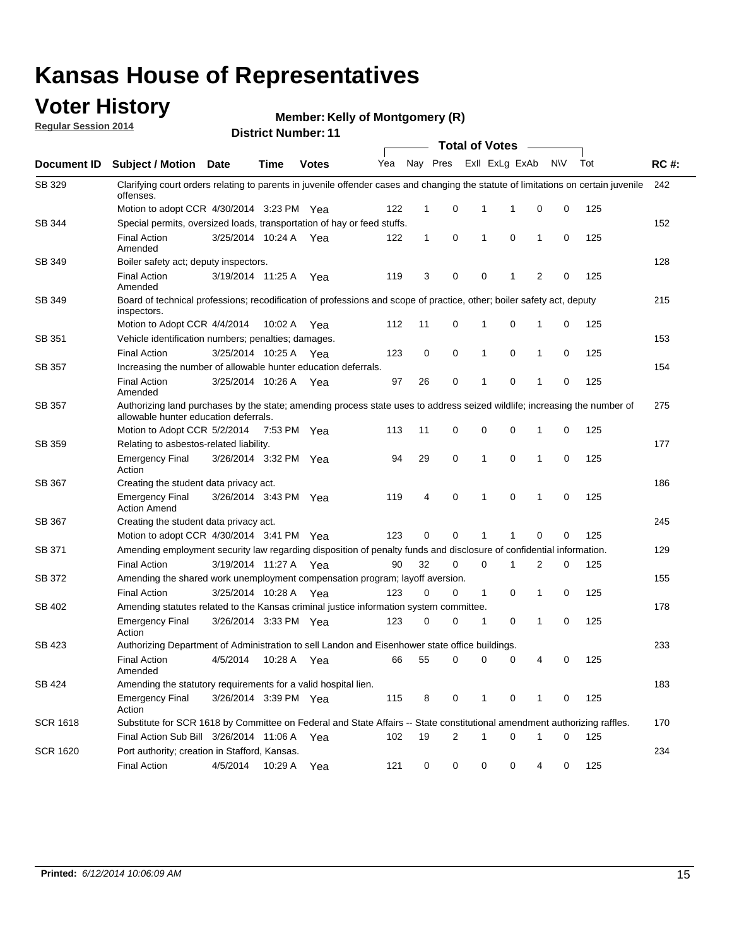## **Voter History**

**Regular Session 2014**

#### **Member: Kelly of Montgomery (R)**

|                 |                                                                                                                                                                    |                       |             |              |     |              |          | <b>Total of Votes</b> |                |                     |     |             |
|-----------------|--------------------------------------------------------------------------------------------------------------------------------------------------------------------|-----------------------|-------------|--------------|-----|--------------|----------|-----------------------|----------------|---------------------|-----|-------------|
| Document ID     | Subject / Motion Date                                                                                                                                              |                       | <b>Time</b> | <b>Votes</b> | Yea |              | Nay Pres |                       | Exll ExLg ExAb | <b>NV</b>           | Tot | <b>RC#:</b> |
| SB 329          | Clarifying court orders relating to parents in juvenile offender cases and changing the statute of limitations on certain juvenile<br>offenses.                    |                       |             |              |     |              |          |                       |                |                     |     | 242         |
|                 | Motion to adopt CCR 4/30/2014 3:23 PM Yea                                                                                                                          |                       |             |              | 122 | $\mathbf 1$  | 0        | 1                     | -1             | 0<br>0              | 125 |             |
| SB 344          | Special permits, oversized loads, transportation of hay or feed stuffs.                                                                                            |                       |             |              |     |              |          |                       |                |                     |     | 152         |
|                 | <b>Final Action</b><br>Amended                                                                                                                                     | 3/25/2014 10:24 A     |             | Yea          | 122 | $\mathbf{1}$ | 0        | 1                     | 0              | 1<br>0              | 125 |             |
| SB 349          | Boiler safety act; deputy inspectors.                                                                                                                              |                       |             |              |     |              |          |                       |                |                     |     | 128         |
|                 | <b>Final Action</b><br>Amended                                                                                                                                     | 3/19/2014 11:25 A     |             | Yea          | 119 | 3            | 0        | 0                     | 1              | $\overline{2}$<br>0 | 125 |             |
| SB 349          | Board of technical professions; recodification of professions and scope of practice, other; boiler safety act, deputy<br>inspectors.                               |                       |             |              |     |              |          |                       |                |                     |     | 215         |
|                 | Motion to Adopt CCR 4/4/2014                                                                                                                                       |                       | 10:02 A     | Yea          | 112 | 11           | 0        | 1                     | 0              | 0<br>1              | 125 |             |
| SB 351          | Vehicle identification numbers; penalties; damages.                                                                                                                |                       |             |              |     |              |          |                       |                |                     |     | 153         |
|                 | <b>Final Action</b>                                                                                                                                                | 3/25/2014 10:25 A     |             | Yea          | 123 | 0            | 0        | 1                     | 0              | 0<br>1              | 125 |             |
| <b>SB 357</b>   | Increasing the number of allowable hunter education deferrals.                                                                                                     |                       |             |              |     |              |          |                       |                |                     |     | 154         |
|                 | <b>Final Action</b><br>Amended                                                                                                                                     | 3/25/2014 10:26 A     |             | Yea          | 97  | 26           | 0        | 1                     | 0              | 0<br>1              | 125 |             |
| <b>SB 357</b>   | Authorizing land purchases by the state; amending process state uses to address seized wildlife; increasing the number of<br>allowable hunter education deferrals. |                       |             |              |     |              |          |                       |                |                     |     | 275         |
|                 | Motion to Adopt CCR 5/2/2014                                                                                                                                       |                       | 7:53 PM Yea |              | 113 | 11           | 0        | 0                     | $\mathbf 0$    | 0<br>1              | 125 |             |
| SB 359          | Relating to asbestos-related liability.                                                                                                                            |                       |             |              |     |              |          |                       |                |                     |     | 177         |
|                 | <b>Emergency Final</b><br>Action                                                                                                                                   | 3/26/2014 3:32 PM Yea |             |              | 94  | 29           | 0        | 1                     | $\mathbf 0$    | $\mathbf{1}$<br>0   | 125 |             |
| SB 367          | Creating the student data privacy act.                                                                                                                             |                       |             |              |     |              |          |                       |                |                     |     | 186         |
|                 | <b>Emergency Final</b><br><b>Action Amend</b>                                                                                                                      | 3/26/2014 3:43 PM Yea |             |              | 119 | 4            | 0        | 1                     | 0              | 0<br>1              | 125 |             |
| SB 367          | Creating the student data privacy act.                                                                                                                             |                       |             |              |     |              |          |                       |                |                     |     | 245         |
|                 | Motion to adopt CCR 4/30/2014 3:41 PM Yea                                                                                                                          |                       |             |              | 123 | 0            | $\Omega$ |                       | 1              | 0<br>0              | 125 |             |
| SB 371          | Amending employment security law regarding disposition of penalty funds and disclosure of confidential information.                                                |                       |             |              |     |              |          |                       |                |                     |     | 129         |
|                 | <b>Final Action</b>                                                                                                                                                | 3/19/2014 11:27 A     |             | Yea          | 90  | 32           | 0        | $\mathbf 0$           | 1              | 2<br>0              | 125 |             |
| SB 372          | Amending the shared work unemployment compensation program; layoff aversion.                                                                                       |                       |             |              |     |              |          |                       |                |                     |     | 155         |
|                 | <b>Final Action</b>                                                                                                                                                | 3/25/2014 10:28 A     |             | Yea          | 123 | 0            | 0        | $\mathbf{1}$          | 0              | 1<br>0              | 125 |             |
| SB 402          | Amending statutes related to the Kansas criminal justice information system committee.                                                                             |                       |             |              |     |              |          |                       |                |                     |     | 178         |
|                 | <b>Emergency Final</b><br>Action                                                                                                                                   | 3/26/2014 3:33 PM Yea |             |              | 123 | 0            | 0        | 1                     | 0              | 1<br>0              | 125 |             |
| SB 423          | Authorizing Department of Administration to sell Landon and Eisenhower state office buildings.                                                                     |                       |             |              |     |              |          |                       |                |                     |     | 233         |
|                 | <b>Final Action</b><br>Amended                                                                                                                                     | 4/5/2014              | 10:28 A Yea |              | 66  | 55           | 0        | 0                     | 0              | 0<br>4              | 125 |             |
| SB 424          | Amending the statutory requirements for a valid hospital lien.                                                                                                     |                       |             |              |     |              |          |                       |                |                     |     | 183         |
|                 | <b>Emergency Final</b><br>Action                                                                                                                                   | 3/26/2014 3:39 PM Yea |             |              | 115 | 8            | 0        | 1                     | 0              | 0<br>1              | 125 |             |
| <b>SCR 1618</b> | Substitute for SCR 1618 by Committee on Federal and State Affairs -- State constitutional amendment authorizing raffles.                                           |                       |             |              |     |              |          |                       |                |                     |     | 170         |
|                 | Final Action Sub Bill 3/26/2014 11:06 A Yea                                                                                                                        |                       |             |              | 102 | 19           | 2        | 1                     | 0              | 0<br>1              | 125 |             |
| <b>SCR 1620</b> | Port authority; creation in Stafford, Kansas.                                                                                                                      |                       |             |              |     |              |          |                       |                |                     |     | 234         |
|                 | <b>Final Action</b>                                                                                                                                                | 4/5/2014              | 10:29 A Yea |              | 121 | 0            | 0        | 0                     | 0              | 4<br>0              | 125 |             |